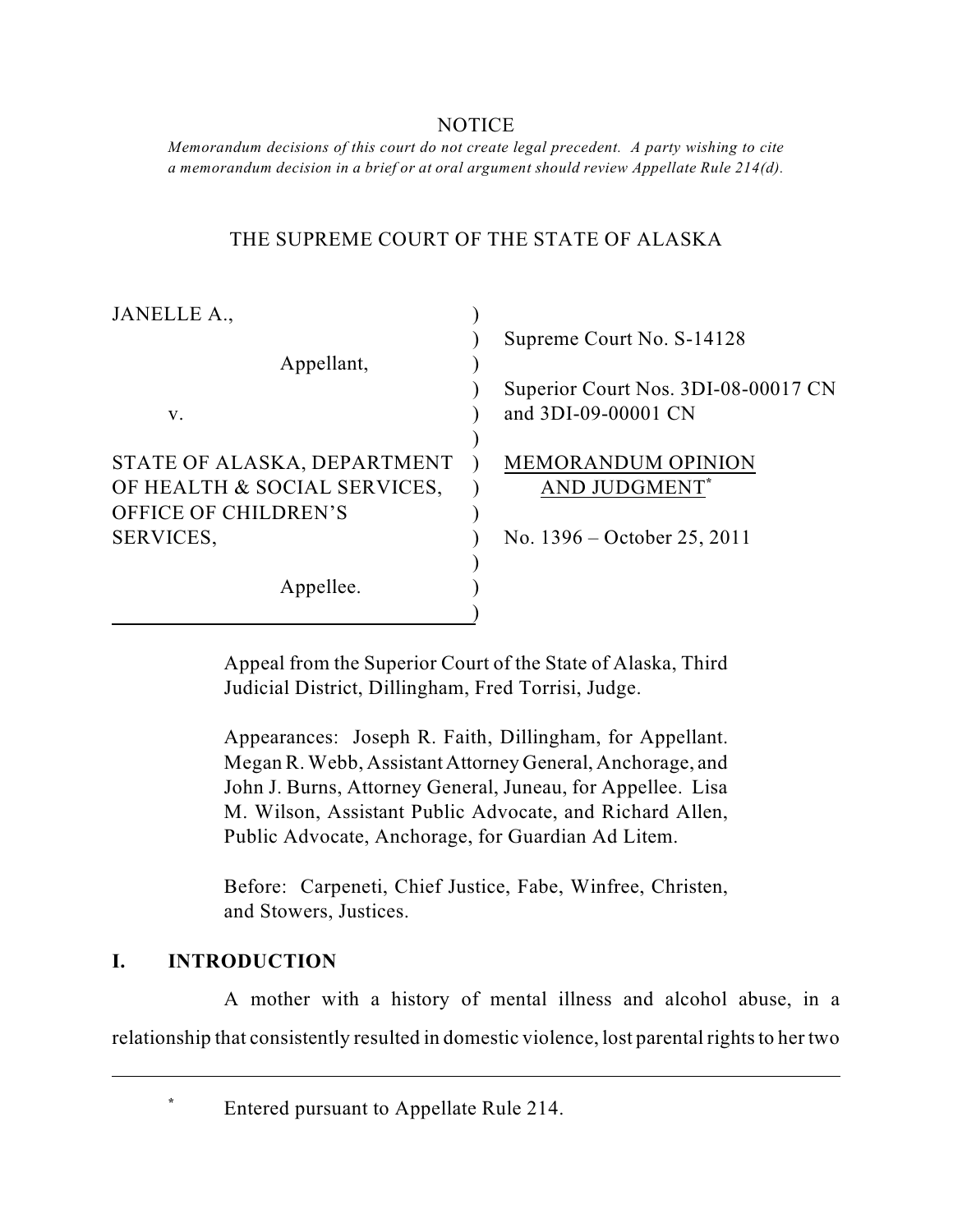## NOTICE

 *Memorandum decisions of this court do not create legal precedent. A party wishing to cite a memorandum decision in a brief or at oral argument should review Appellate Rule 214(d).* 

# THE SUPREME COURT OF THE STATE OF ALASKA

| JANELLE A.,                  |                                     |
|------------------------------|-------------------------------------|
|                              | Supreme Court No. S-14128           |
| Appellant,                   |                                     |
|                              | Superior Court Nos. 3DI-08-00017 CN |
| V.                           | and 3DI-09-00001 CN                 |
|                              |                                     |
| STATE OF ALASKA, DEPARTMENT  | <b>MEMORANDUM OPINION</b>           |
| OF HEALTH & SOCIAL SERVICES, | AND JUDGMENT*                       |
| OFFICE OF CHILDREN'S         |                                     |
| SERVICES,                    | No. $1396 -$ October 25, 2011       |
|                              |                                     |
| Appellee.                    |                                     |
|                              |                                     |

Appeal from the Superior Court of the State of Alaska, Third Judicial District, Dillingham, Fred Torrisi, Judge.

 John J. Burns, Attorney General, Juneau, for Appellee. Lisa Appearances: Joseph R. Faith, Dillingham, for Appellant. Megan R. Webb, Assistant Attorney General, Anchorage, and M. Wilson, Assistant Public Advocate, and Richard Allen, Public Advocate, Anchorage, for Guardian Ad Litem.

Before: Carpeneti, Chief Justice, Fabe, Winfree, Christen, and Stowers, Justices.

# **I. INTRODUCTION**

A mother with a history of mental illness and alcohol abuse, in a relationship that consistently resulted in domestic violence, lost parental rights to her two

**\*** Entered pursuant to Appellate Rule 214.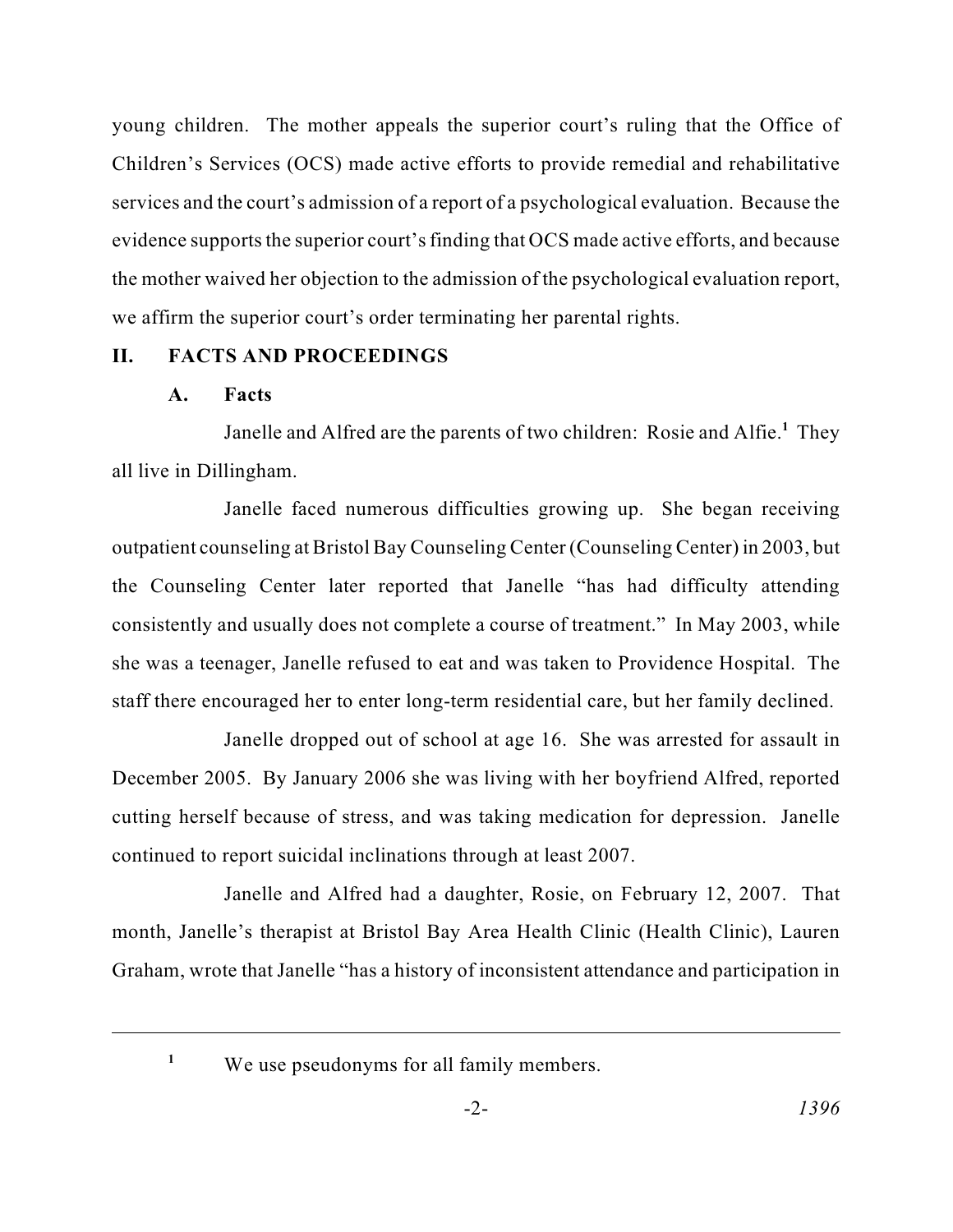young children. The mother appeals the superior court's ruling that the Office of services and the court's admission of a report of a psychological evaluation. Because the the mother waived her objection to the admission of the psychological evaluation report, Children's Services (OCS) made active efforts to provide remedial and rehabilitative evidence supports the superior court's finding that OCS made active efforts, and because we affirm the superior court's order terminating her parental rights.

# **II. FACTS AND PROCEEDINGS**

## **A. Facts**

 Janelle and Alfred are the parents of two children: Rosie and Alfie.**<sup>1</sup>** They all live in Dillingham.

Janelle faced numerous difficulties growing up. She began receiving outpatient counseling at Bristol Bay Counseling Center (Counseling Center) in 2003, but the Counseling Center later reported that Janelle "has had difficulty attending consistently and usually does not complete a course of treatment." In May 2003, while she was a teenager, Janelle refused to eat and was taken to Providence Hospital. The staff there encouraged her to enter long-term residential care, but her family declined.

 December 2005. By January 2006 she was living with her boyfriend Alfred, reported Janelle dropped out of school at age 16. She was arrested for assault in cutting herself because of stress, and was taking medication for depression. Janelle continued to report suicidal inclinations through at least 2007.

 Janelle and Alfred had a daughter, Rosie, on February 12, 2007. That Graham, wrote that Janelle "has a history of inconsistent attendance and participation in month, Janelle's therapist at Bristol Bay Area Health Clinic (Health Clinic), Lauren

<sup>&</sup>lt;sup>1</sup> We use pseudonyms for all family members.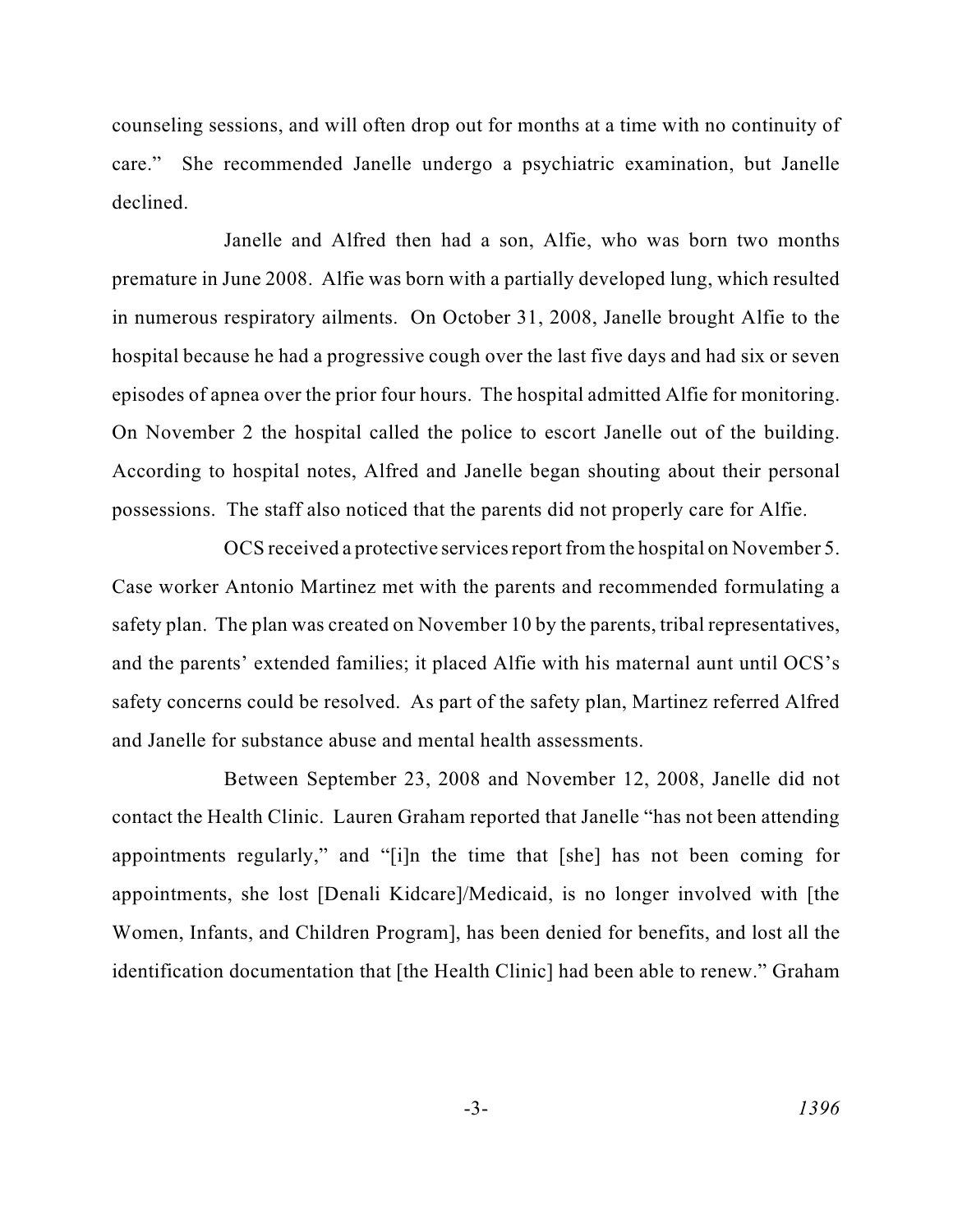counseling sessions, and will often drop out for months at a time with no continuity of care." She recommended Janelle undergo a psychiatric examination, but Janelle declined.

 premature in June 2008. Alfie was born with a partially developed lung, which resulted episodes of apnea over the prior four hours. The hospital admitted Alfie for monitoring. Janelle and Alfred then had a son, Alfie, who was born two months in numerous respiratory ailments. On October 31, 2008, Janelle brought Alfie to the hospital because he had a progressive cough over the last five days and had six or seven On November 2 the hospital called the police to escort Janelle out of the building. According to hospital notes, Alfred and Janelle began shouting about their personal possessions. The staff also noticed that the parents did not properly care for Alfie.

 safety concerns could be resolved. As part of the safety plan, Martinez referred Alfred OCS received a protective services report from the hospital on November 5. Case worker Antonio Martinez met with the parents and recommended formulating a safety plan. The plan was created on November 10 by the parents, tribal representatives, and the parents' extended families; it placed Alfie with his maternal aunt until OCS's and Janelle for substance abuse and mental health assessments.

 contact the Health Clinic. Lauren Graham reported that Janelle "has not been attending appointments regularly," and "[i]n the time that [she] has not been coming for Between September 23, 2008 and November 12, 2008, Janelle did not appointments, she lost [Denali Kidcare]/Medicaid, is no longer involved with [the Women, Infants, and Children Program], has been denied for benefits, and lost all the identification documentation that [the Health Clinic] had been able to renew." Graham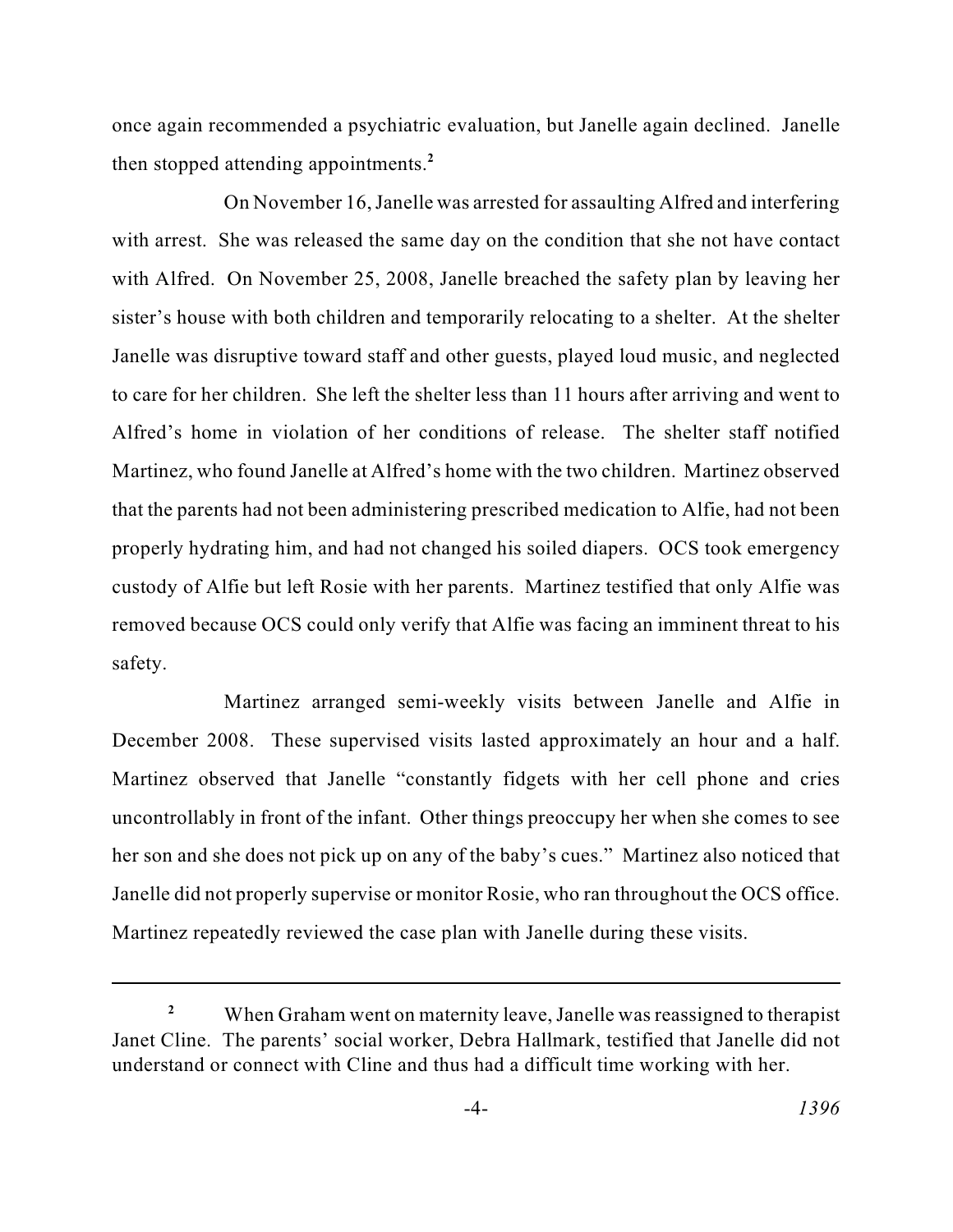once again recommended a psychiatric evaluation, but Janelle again declined. Janelle then stopped attending appointments.**<sup>2</sup>**

 On November 16, Janelle was arrested for assaulting Alfred and interfering with Alfred. On November 25, 2008, Janelle breached the safety plan by leaving her sister's house with both children and temporarily relocating to a shelter. At the shelter to care for her children. She left the shelter less than 11 hours after arriving and went to Martinez, who found Janelle at Alfred's home with the two children. Martinez observed that the parents had not been administering prescribed medication to Alfie, had not been custody of Alfie but left Rosie with her parents. Martinez testified that only Alfie was removed because OCS could only verify that Alfie was facing an imminent threat to his with arrest. She was released the same day on the condition that she not have contact Janelle was disruptive toward staff and other guests, played loud music, and neglected Alfred's home in violation of her conditions of release. The shelter staff notified properly hydrating him, and had not changed his soiled diapers. OCS took emergency safety.

 uncontrollably in front of the infant. Other things preoccupy her when she comes to see her son and she does not pick up on any of the baby's cues." Martinez also noticed that Martinez arranged semi-weekly visits between Janelle and Alfie in December 2008. These supervised visits lasted approximately an hour and a half. Martinez observed that Janelle "constantly fidgets with her cell phone and cries Janelle did not properly supervise or monitor Rosie, who ran throughout the OCS office. Martinez repeatedly reviewed the case plan with Janelle during these visits.

When Graham went on maternity leave, Janelle was reassigned to therapist Janet Cline. The parents' social worker, Debra Hallmark, testified that Janelle did not understand or connect with Cline and thus had a difficult time working with her. **2**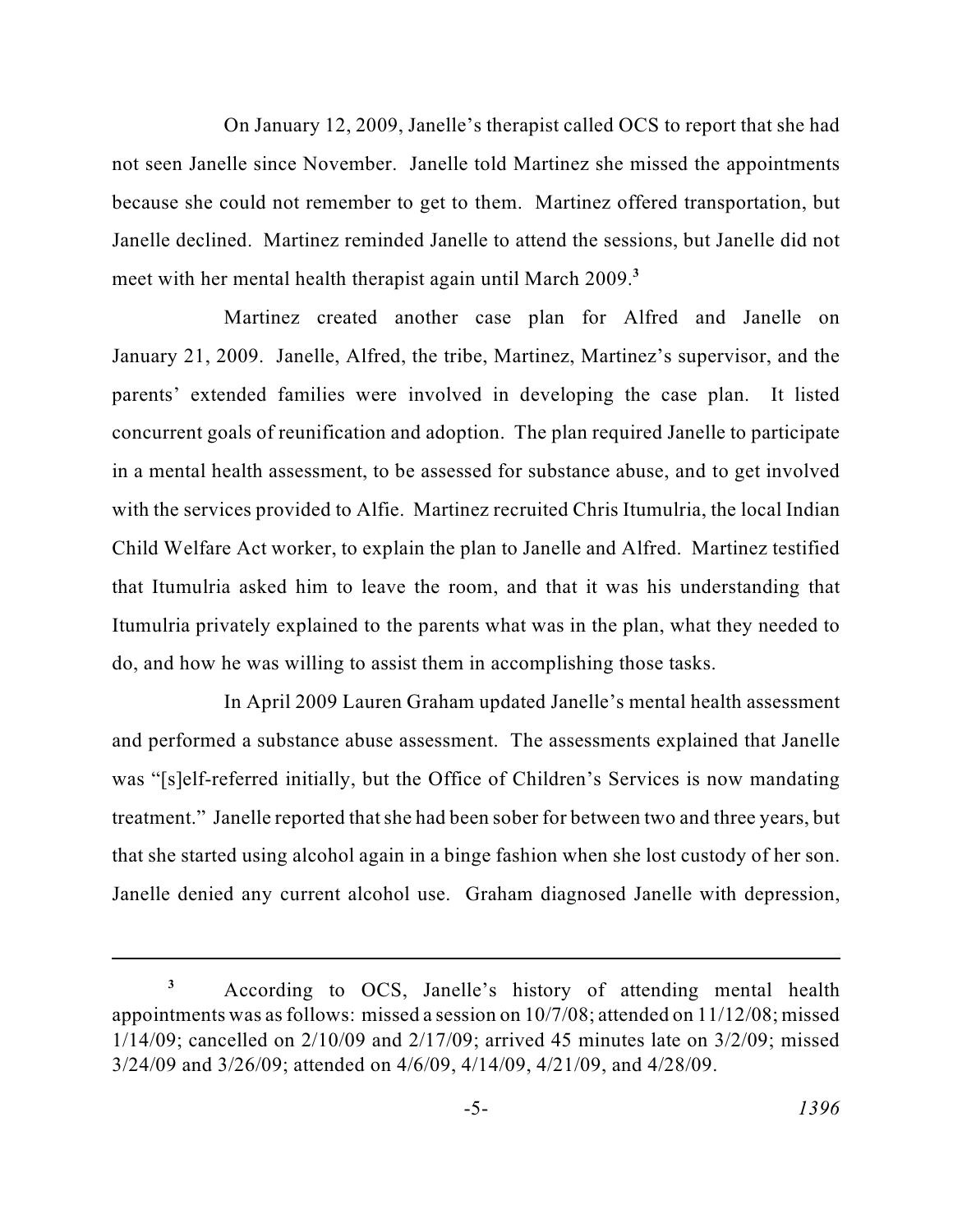On January 12, 2009, Janelle's therapist called OCS to report that she had not seen Janelle since November. Janelle told Martinez she missed the appointments because she could not remember to get to them. Martinez offered transportation, but Janelle declined. Martinez reminded Janelle to attend the sessions, but Janelle did not meet with her mental health therapist again until March 2009.**<sup>3</sup>**

 with the services provided to Alfie. Martinez recruited Chris Itumulria, the local Indian Child Welfare Act worker, to explain the plan to Janelle and Alfred. Martinez testified Itumulria privately explained to the parents what was in the plan, what they needed to Martinez created another case plan for Alfred and Janelle on January 21, 2009. Janelle, Alfred, the tribe, Martinez, Martinez's supervisor, and the parents' extended families were involved in developing the case plan. It listed concurrent goals of reunification and adoption. The plan required Janelle to participate in a mental health assessment, to be assessed for substance abuse, and to get involved that Itumulria asked him to leave the room, and that it was his understanding that do, and how he was willing to assist them in accomplishing those tasks.

 treatment." Janelle reported that she had been sober for between two and three years, but that she started using alcohol again in a binge fashion when she lost custody of her son. In April 2009 Lauren Graham updated Janelle's mental health assessment and performed a substance abuse assessment. The assessments explained that Janelle was "[s]elf-referred initially, but the Office of Children's Services is now mandating Janelle denied any current alcohol use. Graham diagnosed Janelle with depression,

 According to OCS, Janelle's history of attending mental health appointments was as follows: missed a session on 10/7/08; attended on 11/12/08; missed 1/14/09; cancelled on 2/10/09 and 2/17/09; arrived 45 minutes late on 3/2/09; missed 3/24/09 and 3/26/09; attended on 4/6/09, 4/14/09, 4/21/09, and 4/28/09. **3**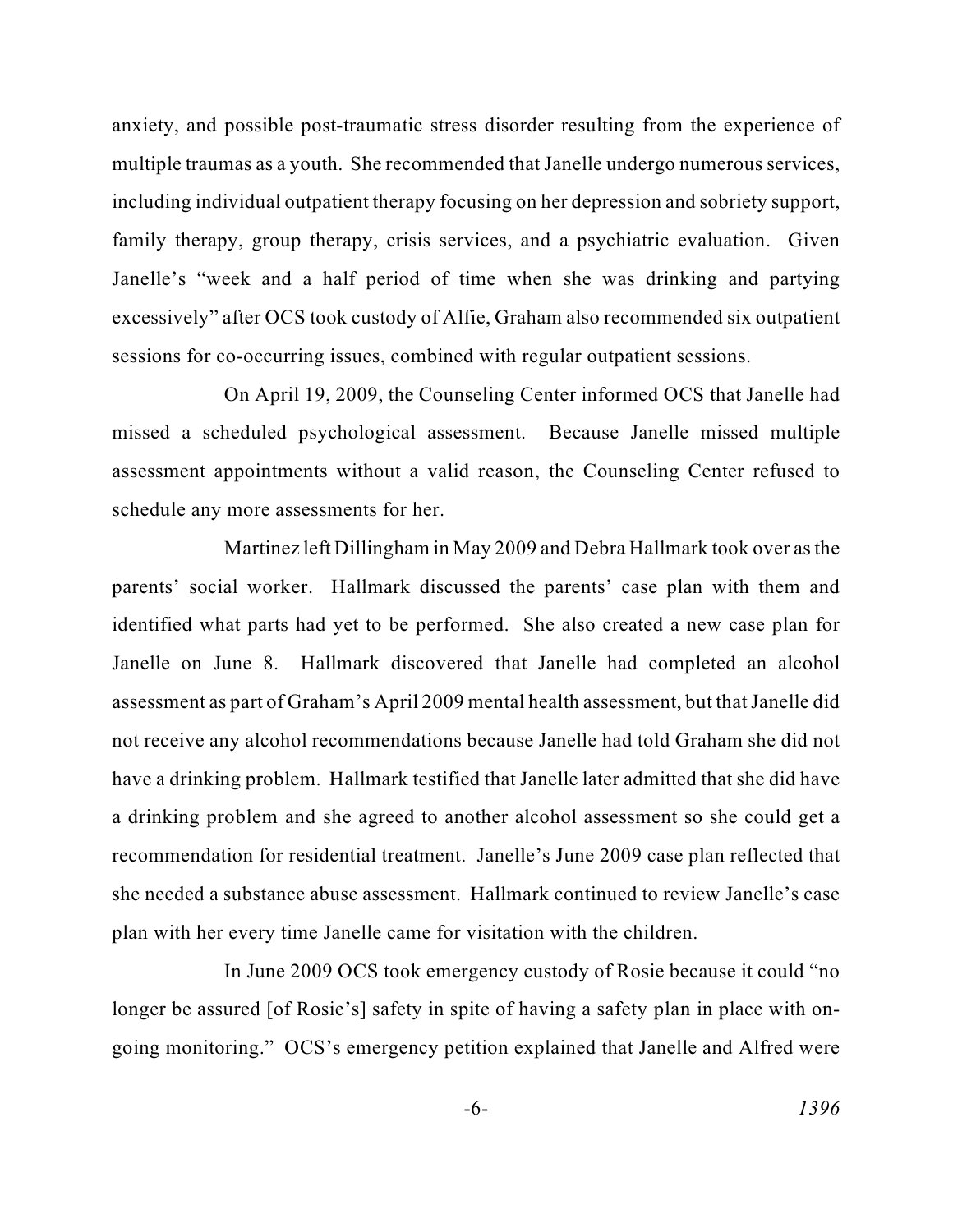multiple traumas as a youth. She recommended that Janelle undergo numerous services, family therapy, group therapy, crisis services, and a psychiatric evaluation. Given excessively" after OCS took custody of Alfie, Graham also recommended six outpatient anxiety, and possible post-traumatic stress disorder resulting from the experience of including individual outpatient therapy focusing on her depression and sobriety support, Janelle's "week and a half period of time when she was drinking and partying sessions for co-occurring issues, combined with regular outpatient sessions.

On April 19, 2009, the Counseling Center informed OCS that Janelle had missed a scheduled psychological assessment. Because Janelle missed multiple assessment appointments without a valid reason, the Counseling Center refused to schedule any more assessments for her.

 assessment as part of Graham's April 2009 mental health assessment, but that Janelle did have a drinking problem. Hallmark testified that Janelle later admitted that she did have a drinking problem and she agreed to another alcohol assessment so she could get a recommendation for residential treatment. Janelle's June 2009 case plan reflected that she needed a substance abuse assessment. Hallmark continued to review Janelle's case Martinez left Dillingham in May 2009 and Debra Hallmark took over as the parents' social worker. Hallmark discussed the parents' case plan with them and identified what parts had yet to be performed. She also created a new case plan for Janelle on June 8. Hallmark discovered that Janelle had completed an alcohol not receive any alcohol recommendations because Janelle had told Graham she did not plan with her every time Janelle came for visitation with the children.

 going monitoring." OCS's emergency petition explained that Janelle and Alfred were In June 2009 OCS took emergency custody of Rosie because it could "no longer be assured [of Rosie's] safety in spite of having a safety plan in place with on-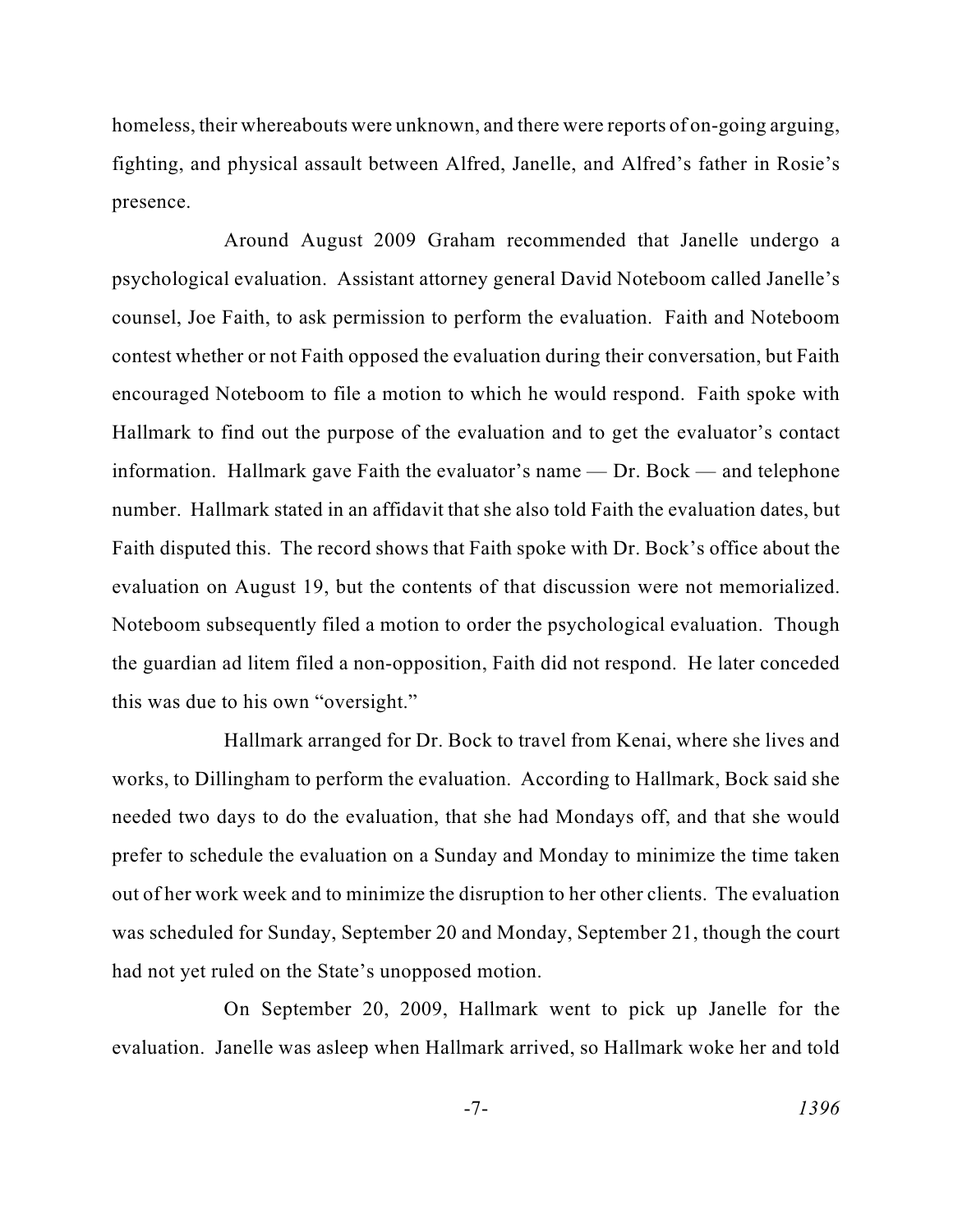homeless, their whereabouts were unknown, and there were reports of on-going arguing, fighting, and physical assault between Alfred, Janelle, and Alfred's father in Rosie's presence.

 contest whether or not Faith opposed the evaluation during their conversation, but Faith encouraged Noteboom to file a motion to which he would respond. Faith spoke with information. Hallmark gave Faith the evaluator's name — Dr. Bock — and telephone number. Hallmark stated in an affidavit that she also told Faith the evaluation dates, but Faith disputed this. The record shows that Faith spoke with Dr. Bock's office about the Around August 2009 Graham recommended that Janelle undergo a psychological evaluation. Assistant attorney general David Noteboom called Janelle's counsel, Joe Faith, to ask permission to perform the evaluation. Faith and Noteboom Hallmark to find out the purpose of the evaluation and to get the evaluator's contact evaluation on August 19, but the contents of that discussion were not memorialized. Noteboom subsequently filed a motion to order the psychological evaluation. Though the guardian ad litem filed a non-opposition, Faith did not respond. He later conceded this was due to his own "oversight."

 works, to Dillingham to perform the evaluation. According to Hallmark, Bock said she prefer to schedule the evaluation on a Sunday and Monday to minimize the time taken Hallmark arranged for Dr. Bock to travel from Kenai, where she lives and needed two days to do the evaluation, that she had Mondays off, and that she would out of her work week and to minimize the disruption to her other clients. The evaluation was scheduled for Sunday, September 20 and Monday, September 21, though the court had not yet ruled on the State's unopposed motion.

 On September 20, 2009, Hallmark went to pick up Janelle for the evaluation. Janelle was asleep when Hallmark arrived, so Hallmark woke her and told

$$
-7 - 1396
$$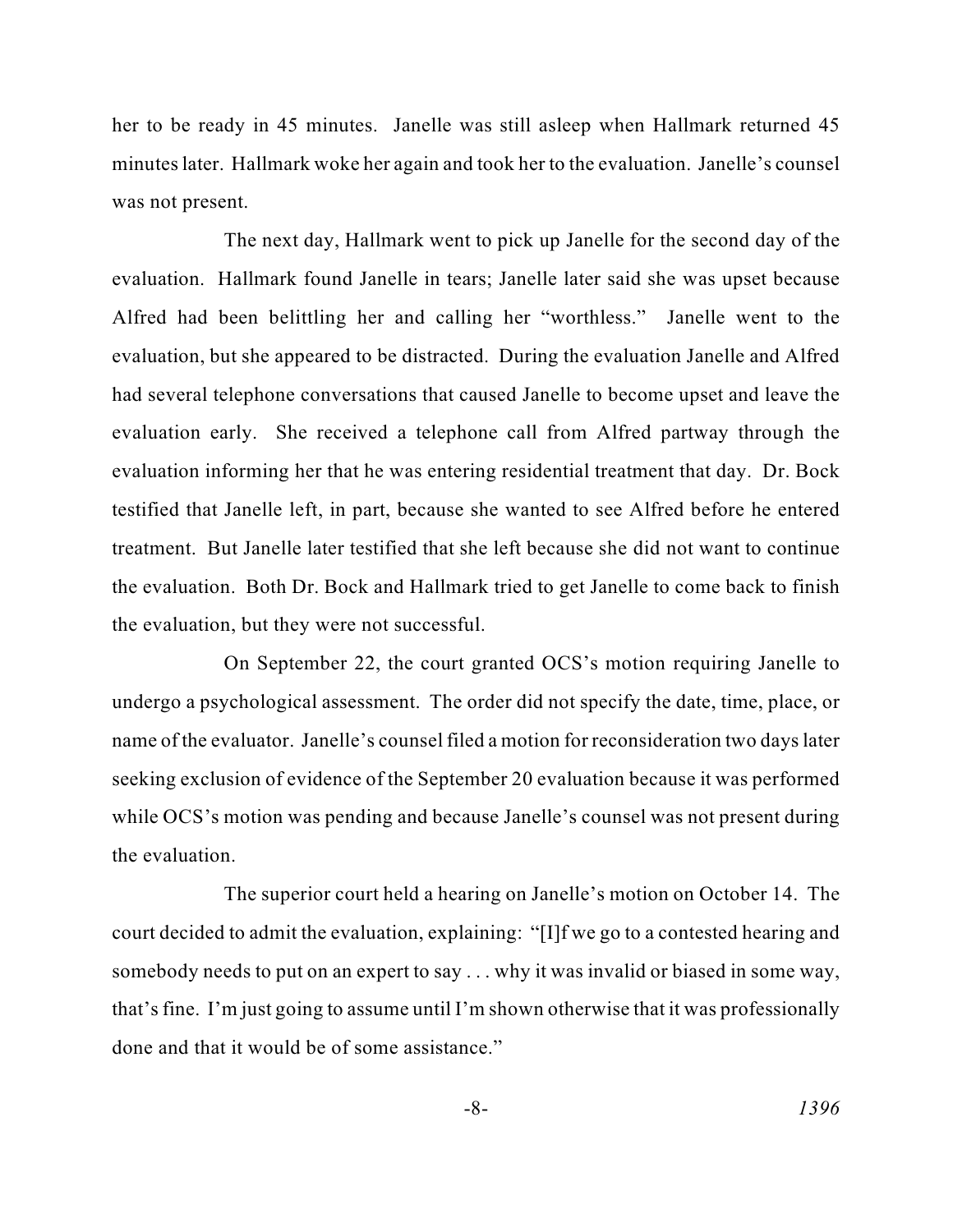her to be ready in 45 minutes. Janelle was still asleep when Hallmark returned 45 minutes later. Hallmark woke her again and took her to the evaluation. Janelle's counsel was not present.

 The next day, Hallmark went to pick up Janelle for the second day of the had several telephone conversations that caused Janelle to become upset and leave the evaluation early. She received a telephone call from Alfred partway through the the evaluation. Both Dr. Bock and Hallmark tried to get Janelle to come back to finish evaluation. Hallmark found Janelle in tears; Janelle later said she was upset because Alfred had been belittling her and calling her "worthless." Janelle went to the evaluation, but she appeared to be distracted. During the evaluation Janelle and Alfred evaluation informing her that he was entering residential treatment that day. Dr. Bock testified that Janelle left, in part, because she wanted to see Alfred before he entered treatment. But Janelle later testified that she left because she did not want to continue the evaluation, but they were not successful.

 undergo a psychological assessment. The order did not specify the date, time, place, or On September 22, the court granted OCS's motion requiring Janelle to name of the evaluator. Janelle's counsel filed a motion for reconsideration two days later seeking exclusion of evidence of the September 20 evaluation because it was performed while OCS's motion was pending and because Janelle's counsel was not present during the evaluation.

 court decided to admit the evaluation, explaining: "[I]f we go to a contested hearing and The superior court held a hearing on Janelle's motion on October 14. The somebody needs to put on an expert to say . . . why it was invalid or biased in some way, that's fine. I'm just going to assume until I'm shown otherwise that it was professionally done and that it would be of some assistance."

$$
-8-
$$

-8- *1396*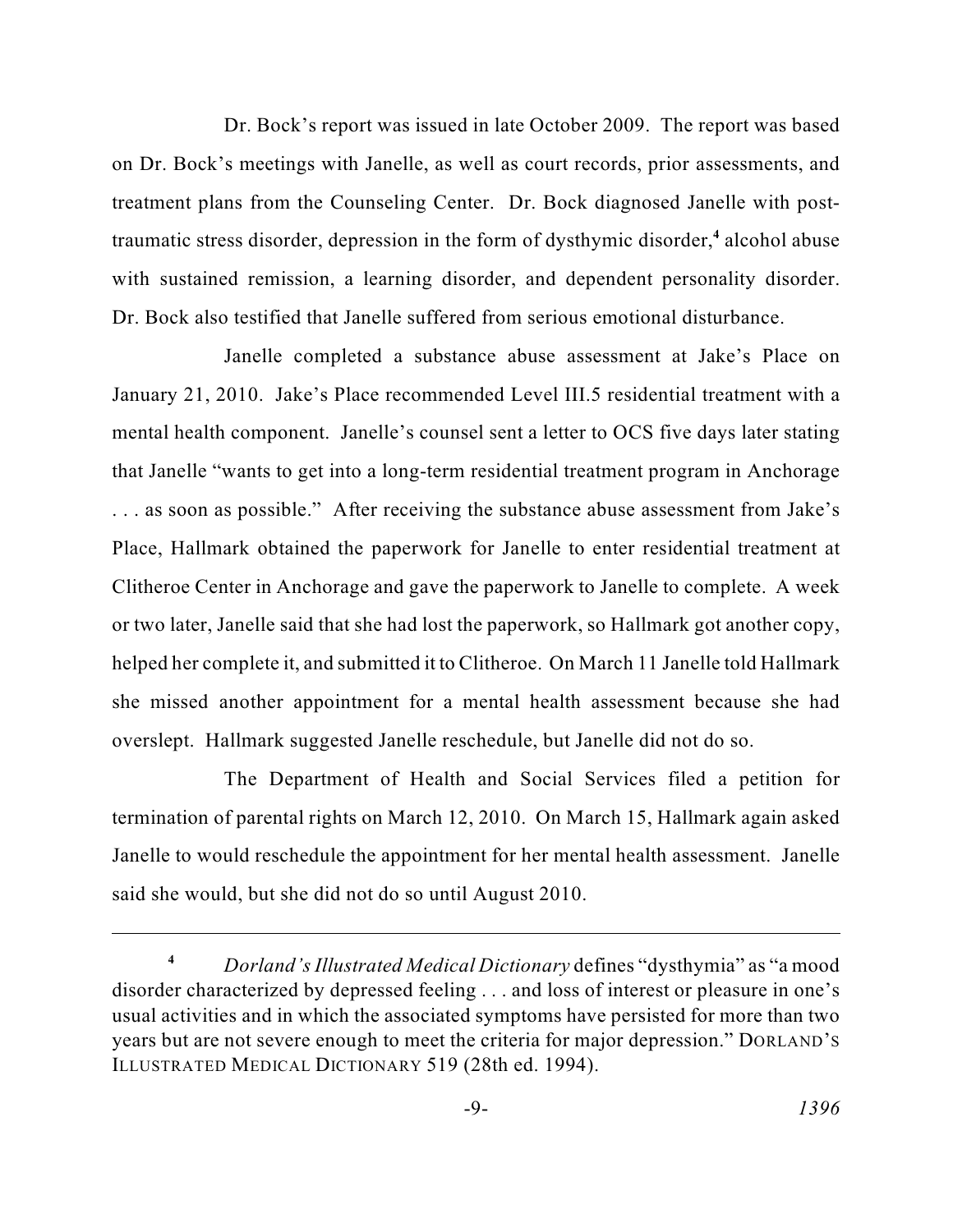traumatic stress disorder, depression in the form of dysthymic disorder,<sup>4</sup> alcohol abuse Dr. Bock's report was issued in late October 2009. The report was based on Dr. Bock's meetings with Janelle, as well as court records, prior assessments, and treatment plans from the Counseling Center. Dr. Bock diagnosed Janelle with postwith sustained remission, a learning disorder, and dependent personality disorder. Dr. Bock also testified that Janelle suffered from serious emotional disturbance.

 that Janelle "wants to get into a long-term residential treatment program in Anchorage or two later, Janelle said that she had lost the paperwork, so Hallmark got another copy, helped her complete it, and submitted it to Clitheroe. On March 11 Janelle told Hallmark Janelle completed a substance abuse assessment at Jake's Place on January 21, 2010. Jake's Place recommended Level III.5 residential treatment with a mental health component. Janelle's counsel sent a letter to OCS five days later stating . . . as soon as possible." After receiving the substance abuse assessment from Jake's Place, Hallmark obtained the paperwork for Janelle to enter residential treatment at Clitheroe Center in Anchorage and gave the paperwork to Janelle to complete. A week she missed another appointment for a mental health assessment because she had overslept. Hallmark suggested Janelle reschedule, but Janelle did not do so.

 termination of parental rights on March 12, 2010. On March 15, Hallmark again asked Janelle to would reschedule the appointment for her mental health assessment. Janelle The Department of Health and Social Services filed a petition for said she would, but she did not do so until August 2010.

 **<sup>4</sup>***Dorland's Illustrated Medical Dictionary* defines "dysthymia" as "a mood disorder characterized by depressed feeling . . . and loss of interest or pleasure in one's usual activities and in which the associated symptoms have persisted for more than two years but are not severe enough to meet the criteria for major depression." DORLAND'S ILLUSTRATED MEDICAL DICTIONARY 519 (28th ed. 1994).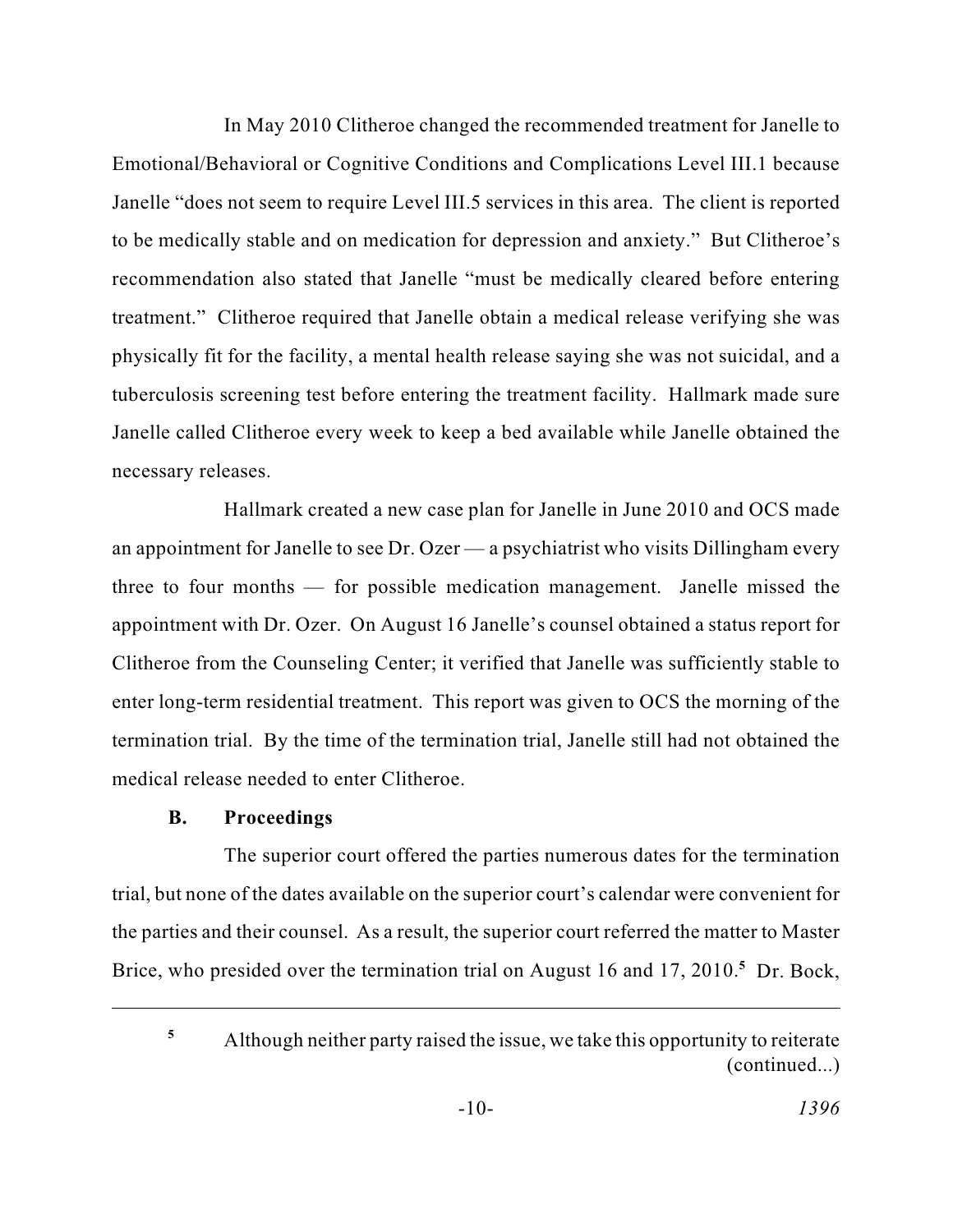In May 2010 Clitheroe changed the recommended treatment for Janelle to physically fit for the facility, a mental health release saying she was not suicidal, and a Emotional/Behavioral or Cognitive Conditions and Complications Level III.1 because Janelle "does not seem to require Level III.5 services in this area. The client is reported to be medically stable and on medication for depression and anxiety." But Clitheroe's recommendation also stated that Janelle "must be medically cleared before entering treatment." Clitheroe required that Janelle obtain a medical release verifying she was tuberculosis screening test before entering the treatment facility. Hallmark made sure Janelle called Clitheroe every week to keep a bed available while Janelle obtained the necessary releases.

 Hallmark created a new case plan for Janelle in June 2010 and OCS made an appointment for Janelle to see Dr. Ozer — a psychiatrist who visits Dillingham every appointment with Dr. Ozer. On August 16 Janelle's counsel obtained a status report for Clitheroe from the Counseling Center; it verified that Janelle was sufficiently stable to enter long-term residential treatment. This report was given to OCS the morning of the termination trial. By the time of the termination trial, Janelle still had not obtained the three to four months — for possible medication management. Janelle missed the medical release needed to enter Clitheroe.

# **B. Proceedings**

 The superior court offered the parties numerous dates for the termination trial, but none of the dates available on the superior court's calendar were convenient for the parties and their counsel. As a result, the superior court referred the matter to Master Brice, who presided over the termination trial on August 16 and 17, 2010.<sup>5</sup> Dr. Bock,

 Although neither party raised the issue, we take this opportunity to reiterate (continued...) **5**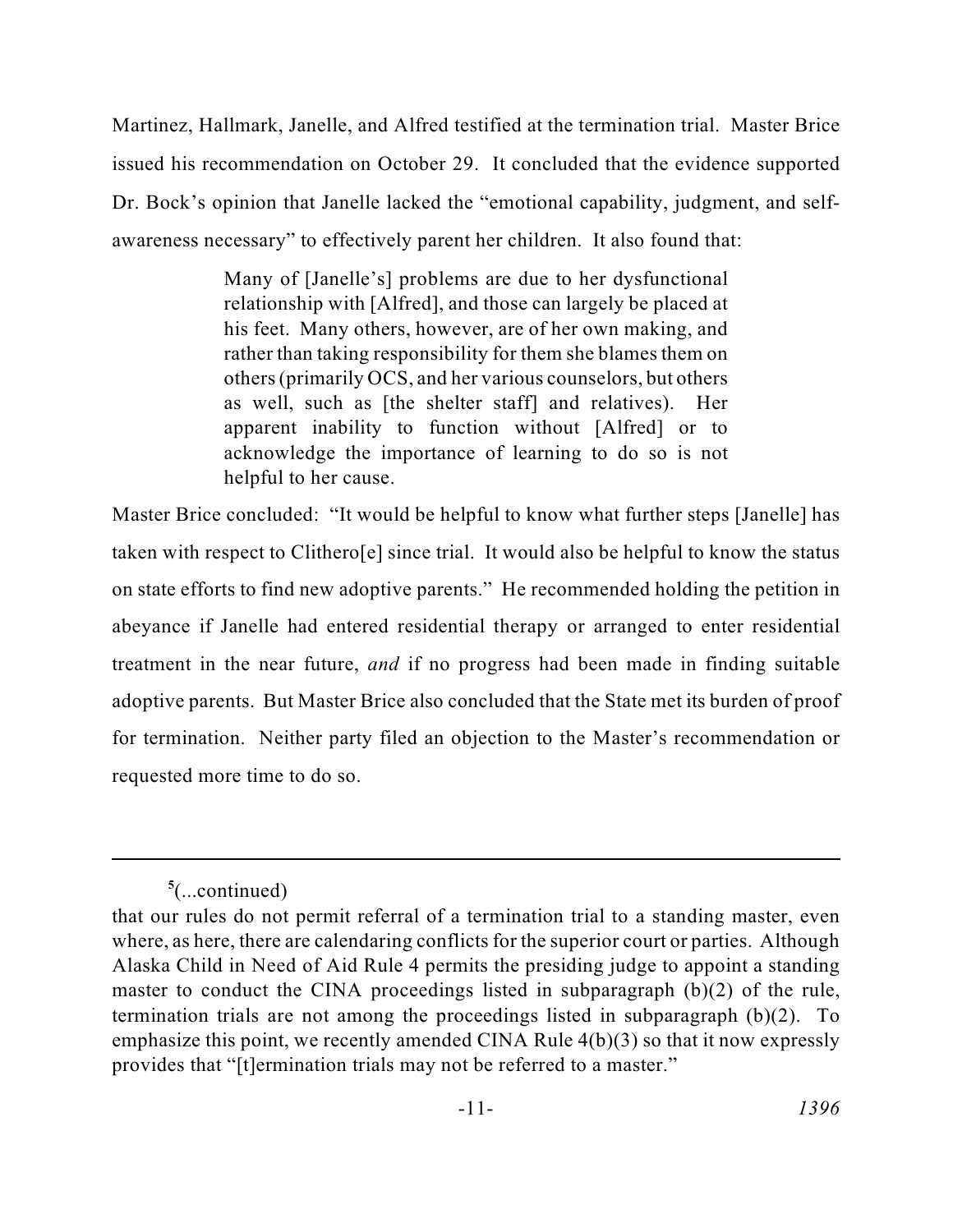Martinez, Hallmark, Janelle, and Alfred testified at the termination trial. Master Brice issued his recommendation on October 29. It concluded that the evidence supported Dr. Bock's opinion that Janelle lacked the "emotional capability, judgment, and selfawareness necessary" to effectively parent her children. It also found that:

> relationship with [Alfred], and those can largely be placed at his feet. Many others, however, are of her own making, and Many of [Janelle's] problems are due to her dysfunctional rather than taking responsibility for them she blames them on others (primarily OCS, and her various counselors, but others as well, such as [the shelter staff] and relatives). Her apparent inability to function without [Alfred] or to acknowledge the importance of learning to do so is not helpful to her cause.

 Master Brice concluded: "It would be helpful to know what further steps [Janelle] has on state efforts to find new adoptive parents." He recommended holding the petition in adoptive parents. But Master Brice also concluded that the State met its burden of proof taken with respect to Clithero[e] since trial. It would also be helpful to know the status abeyance if Janelle had entered residential therapy or arranged to enter residential treatment in the near future, *and* if no progress had been made in finding suitable for termination. Neither party filed an objection to the Master's recommendation or requested more time to do so.

**<sup>5</sup>** (...continued)

 where, as here, there are calendaring conflicts for the superior court or parties. Although Alaska Child in Need of Aid Rule 4 permits the presiding judge to appoint a standing emphasize this point, we recently amended CINA Rule 4(b)(3) so that it now expressly that our rules do not permit referral of a termination trial to a standing master, even master to conduct the CINA proceedings listed in subparagraph (b)(2) of the rule, termination trials are not among the proceedings listed in subparagraph (b)(2). To provides that "[t]ermination trials may not be referred to a master."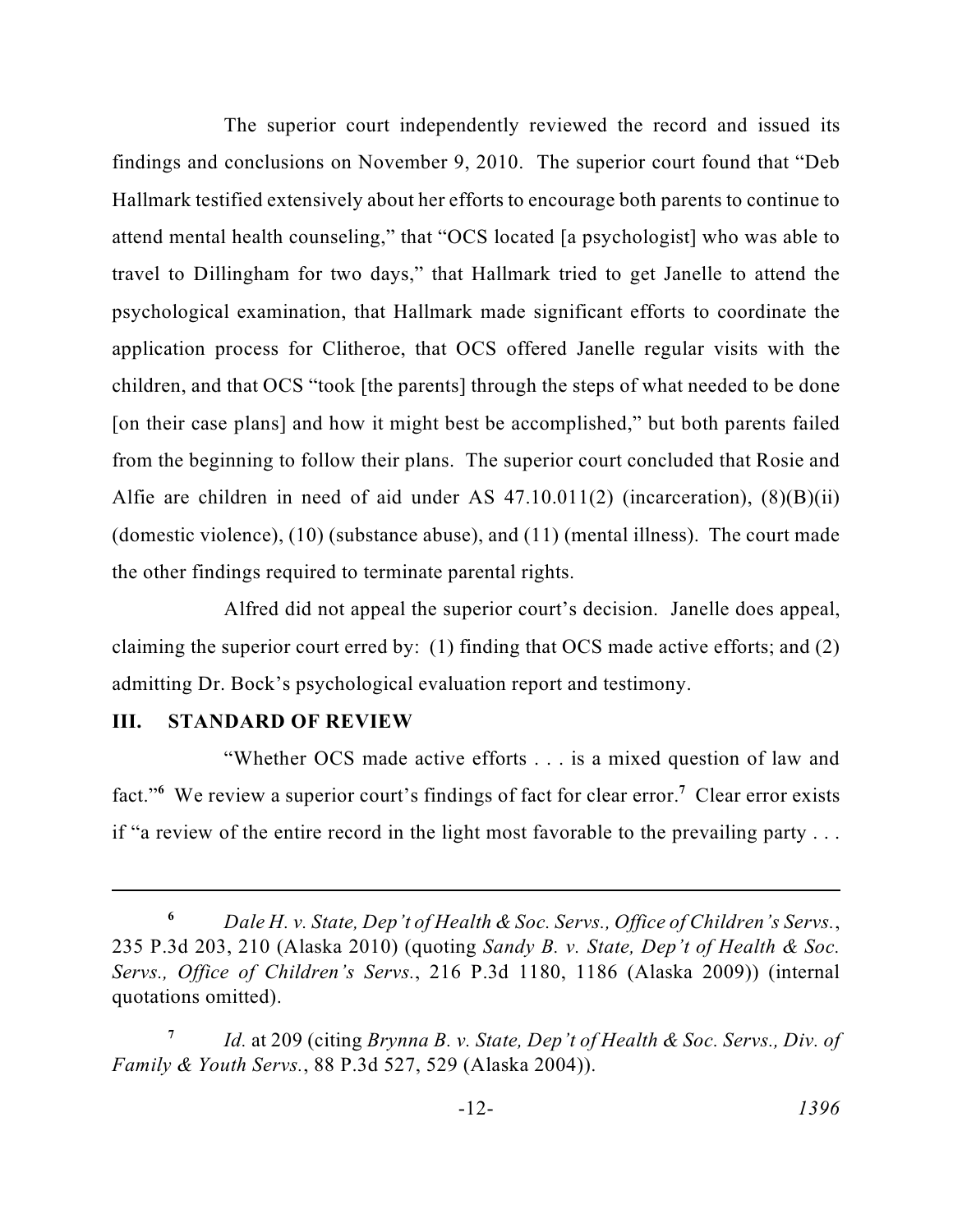Hallmark testified extensively about her efforts to encourage both parents to continue to travel to Dillingham for two days," that Hallmark tried to get Janelle to attend the from the beginning to follow their plans. The superior court concluded that Rosie and (domestic violence), (10) (substance abuse), and (11) (mental illness). The court made The superior court independently reviewed the record and issued its findings and conclusions on November 9, 2010. The superior court found that "Deb attend mental health counseling," that "OCS located [a psychologist] who was able to psychological examination, that Hallmark made significant efforts to coordinate the application process for Clitheroe, that OCS offered Janelle regular visits with the children, and that OCS "took [the parents] through the steps of what needed to be done [on their case plans] and how it might best be accomplished," but both parents failed Alfie are children in need of aid under AS 47.10.011(2) (incarceration), (8)(B)(ii) the other findings required to terminate parental rights.

 Alfred did not appeal the superior court's decision. Janelle does appeal, claiming the superior court erred by: (1) finding that OCS made active efforts; and (2) admitting Dr. Bock's psychological evaluation report and testimony.

#### **III. STANDARD OF REVIEW**

 fact."**<sup>6</sup>**We review a superior court's findings of fact for clear error. **<sup>7</sup>**Clear error exists "Whether OCS made active efforts . . . is a mixed question of law and if "a review of the entire record in the light most favorable to the prevailing party . . .

**<sup>6</sup>***Dale H. v. State, Dep't of Health & Soc. Servs., Office of Children's Servs.*, 235 P.3d 203, 210 (Alaska 2010) (quoting *Sandy B. v. State, Dep't of Health & Soc. Servs., Office of Children's Servs.*, 216 P.3d 1180, 1186 (Alaska 2009)) (internal quotations omitted).

 **<sup>7</sup>***Id.* at 209 (citing *Brynna B. v. State, Dep't of Health & Soc. Servs., Div. of Family & Youth Servs.*, 88 P.3d 527, 529 (Alaska 2004)).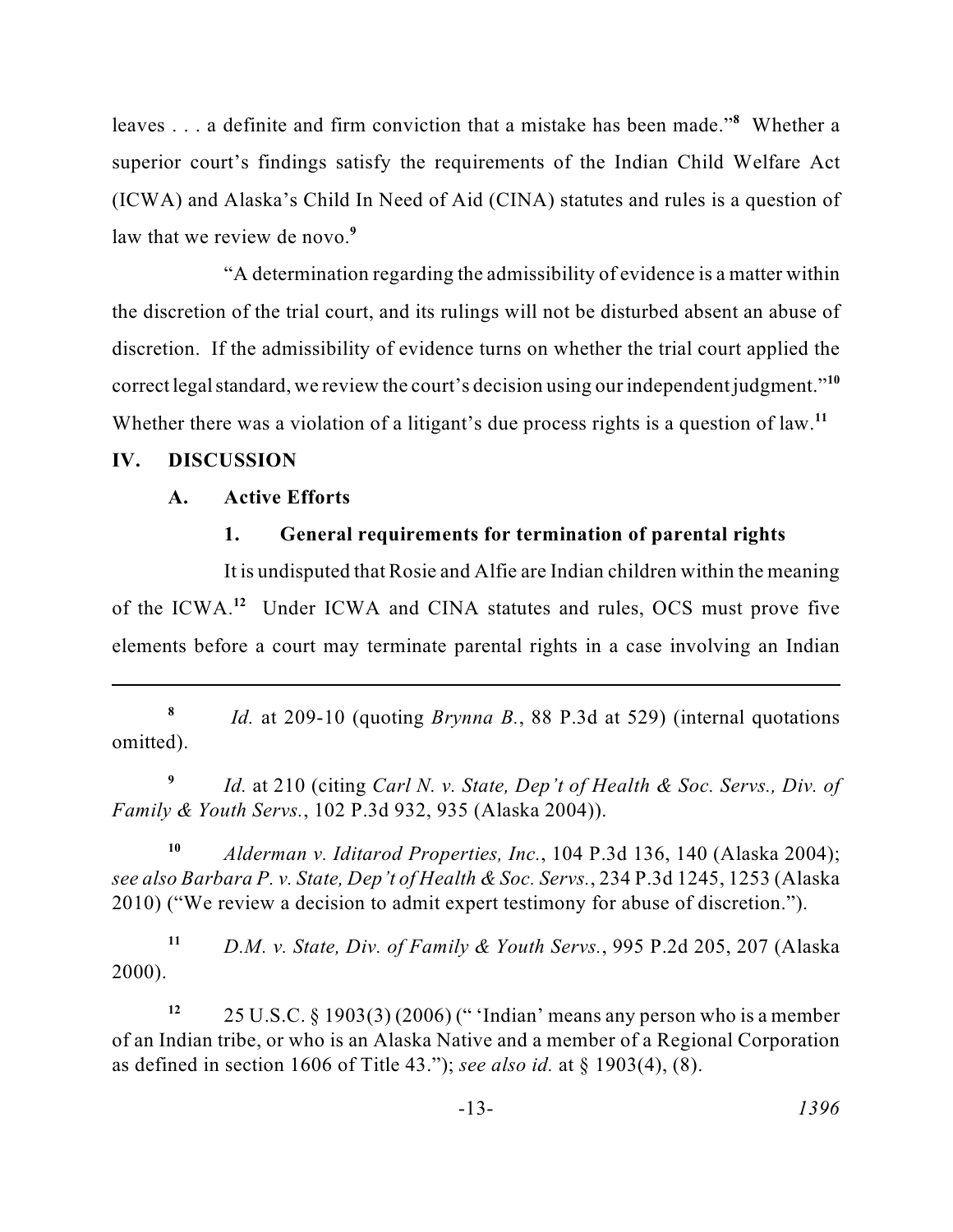leaves . . . a definite and firm conviction that a mistake has been made."<sup>8</sup> Whether a superior court's findings satisfy the requirements of the Indian Child Welfare Act (ICWA) and Alaska's Child In Need of Aid (CINA) statutes and rules is a question of law that we review de novo.**<sup>9</sup>**

"A determination regarding the admissibility of evidence is a matter within the discretion of the trial court, and its rulings will not be disturbed absent an abuse of discretion. If the admissibility of evidence turns on whether the trial court applied the correct legal standard, we review the court's decision using our independent judgment."**<sup>10</sup>** Whether there was a violation of a litigant's due process rights is a question of law.**<sup>11</sup>**

#### **IV. DISCUSSION**

#### **A. Active Efforts**

#### **1. General requirements for termination of parental rights**

 It is undisputed that Rosie and Alfie are Indian children within the meaning of the ICWA.<sup>12</sup> Under ICWA and CINA statutes and rules, OCS must prove five elements before a court may terminate parental rights in a case involving an Indian

 **<sup>8</sup>***Id.* at 209-10 (quoting *Brynna B.*, 88 P.3d at 529) (internal quotations omitted).

<sup>9</sup> *Id.* at 210 (citing *Carl N. v. State, Dep't of Health & Soc. Servs., Div. of Family & Youth Servs.*, 102 P.3d 932, 935 (Alaska 2004)).

 *see also Barbara P. v. State, Dep't of Health & Soc. Servs.*, 234 P.3d 1245, 1253 (Alaska **<sup>10</sup>***Alderman v. Iditarod Properties, Inc.*, 104 P.3d 136, 140 (Alaska 2004); 2010) ("We review a decision to admit expert testimony for abuse of discretion.").

**<sup>11</sup>***D.M. v. State, Div. of Family & Youth Servs.*, 995 P.2d 205, 207 (Alaska 2000).

 of an Indian tribe, or who is an Alaska Native and a member of a Regional Corporation **<sup>12</sup>**25 U.S.C. § 1903(3) (2006) (" 'Indian' means any person who is a member as defined in section 1606 of Title 43."); *see also id.* at § 1903(4), (8).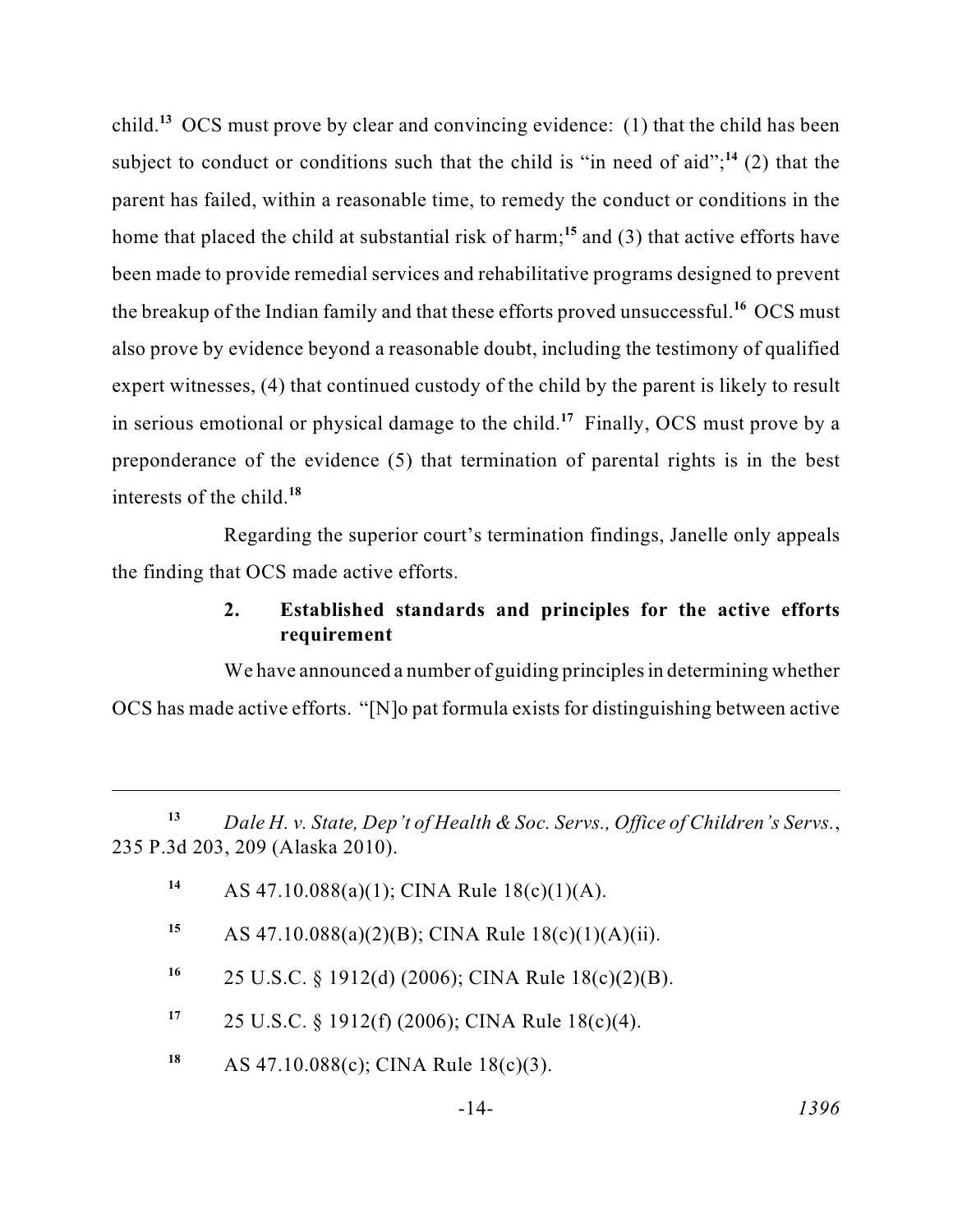child.**<sup>13</sup>**OCS must prove by clear and convincing evidence: (1) that the child has been home that placed the child at substantial risk of harm;**<sup>15</sup>**and (3) that active efforts have in serious emotional or physical damage to the child.<sup>17</sup> Finally, OCS must prove by a preponderance of the evidence (5) that termination of parental rights is in the best subject to conduct or conditions such that the child is "in need of aid"; $^{14}$  (2) that the parent has failed, within a reasonable time, to remedy the conduct or conditions in the been made to provide remedial services and rehabilitative programs designed to prevent the breakup of the Indian family and that these efforts proved unsuccessful.**<sup>16</sup>** OCS must also prove by evidence beyond a reasonable doubt, including the testimony of qualified expert witnesses, (4) that continued custody of the child by the parent is likely to result interests of the child.**<sup>18</sup>**

 Regarding the superior court's termination findings, Janelle only appeals the finding that OCS made active efforts.

# **2. Established standards and principles for the active efforts requirement**

We have announced a number of guiding principles in determining whether OCS has made active efforts. "[N]o pat formula exists for distinguishing between active

**<sup>13</sup>***Dale H. v. State, Dep't of Health & Soc. Servs., Office of Children's Servs.*, 235 P.3d 203, 209 (Alaska 2010).

- **<sup>14</sup>**AS 47.10.088(a)(1); CINA Rule 18(c)(1)(A).
- 15 AS  $47.10.088(a)(2)(B)$ ; CINA Rule  $18(c)(1)(A)(ii)$ .
- **<sup>16</sup>**25 U.S.C. § 1912(d) (2006); CINA Rule 18(c)(2)(B).
- **<sup>17</sup>**25 U.S.C. § 1912(f) (2006); CINA Rule 18(c)(4).
- **<sup>18</sup>**AS 47.10.088(c); CINA Rule 18(c)(3).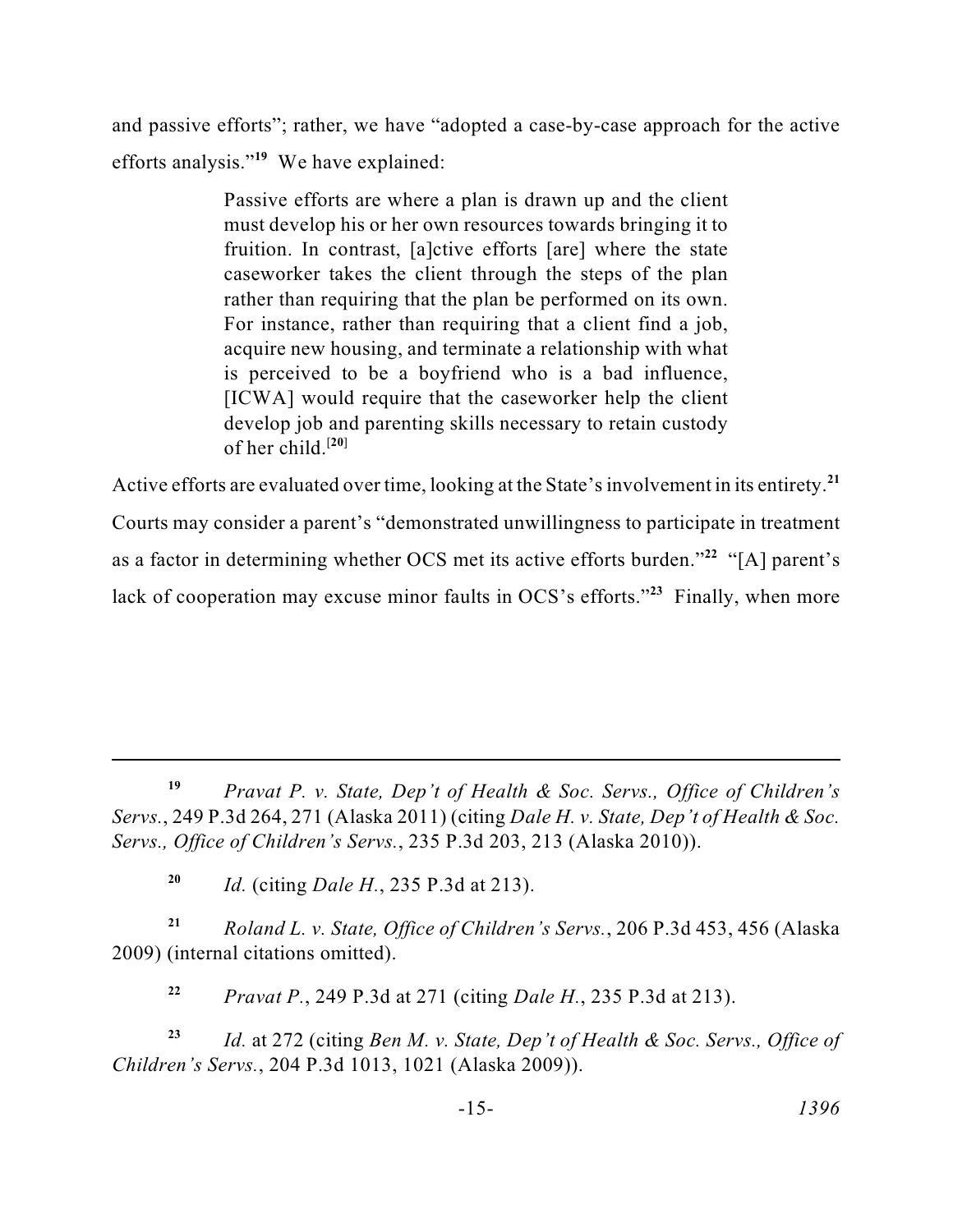and passive efforts"; rather, we have "adopted a case-by-case approach for the active efforts analysis."<sup>19</sup> We have explained:

> must develop his or her own resources towards bringing it to Passive efforts are where a plan is drawn up and the client fruition. In contrast, [a]ctive efforts [are] where the state caseworker takes the client through the steps of the plan rather than requiring that the plan be performed on its own. For instance, rather than requiring that a client find a job, acquire new housing, and terminate a relationship with what is perceived to be a boyfriend who is a bad influence, [ICWA] would require that the caseworker help the client develop job and parenting skills necessary to retain custody of her child. $[20]$

Active efforts are evaluated over time, looking at the State's involvement in its entirety.**<sup>21</sup>** Courts may consider a parent's "demonstrated unwillingness to participate in treatment as a factor in determining whether OCS met its active efforts burden."<sup>22</sup> "[A] parent's lack of cooperation may excuse minor faults in  $OCS$ 's efforts.<sup> $23$ </sup> Finally, when more

**<sup>19</sup>***Pravat P. v. State, Dep't of Health & Soc. Servs., Office of Children's Servs.*, 249 P.3d 264, 271 (Alaska 2011) (citing *Dale H. v. State, Dep't of Health & Soc. Servs., Office of Children's Servs.*, 235 P.3d 203, 213 (Alaska 2010)).

**<sup>20</sup>***Id.* (citing *Dale H.*, 235 P.3d at 213).

 **<sup>21</sup>***Roland L. v. State, Office of Children's Servs.*, 206 P.3d 453, 456 (Alaska 2009) (internal citations omitted).

**<sup>22</sup>***Pravat P.*, 249 P.3d at 271 (citing *Dale H.*, 235 P.3d at 213).

**<sup>23</sup>***Id.* at 272 (citing *Ben M. v. State, Dep't of Health & Soc. Servs., Office of Children's Servs.*, 204 P.3d 1013, 1021 (Alaska 2009)).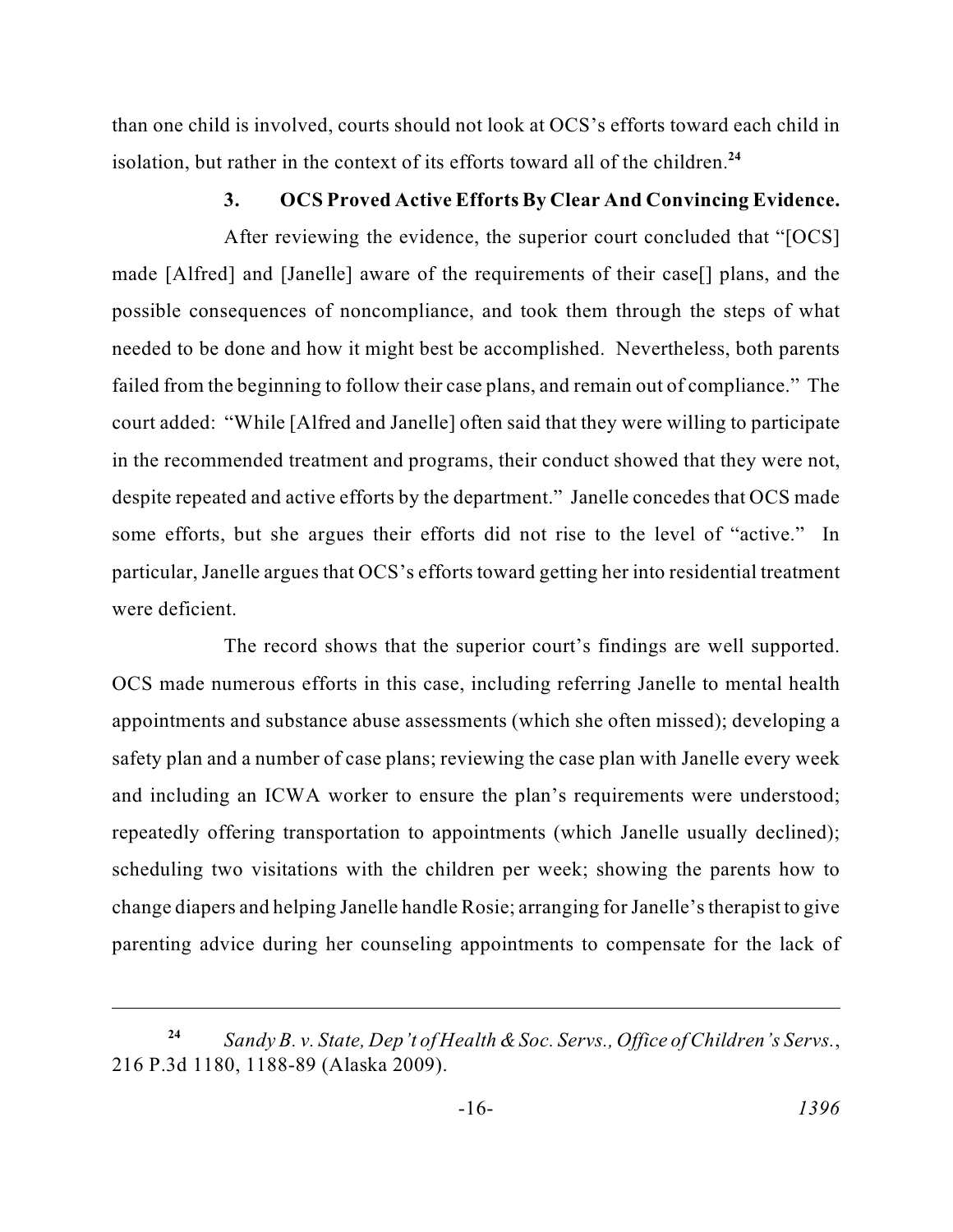than one child is involved, courts should not look at OCS's efforts toward each child in isolation, but rather in the context of its efforts toward all of the children.**<sup>24</sup>**

## **3. OCS Proved Active Efforts By Clear And Convincing Evidence.**

 needed to be done and how it might best be accomplished. Nevertheless, both parents failed from the beginning to follow their case plans, and remain out of compliance." The court added: "While [Alfred and Janelle] often said that they were willing to participate despite repeated and active efforts by the department." Janelle concedes that OCS made After reviewing the evidence, the superior court concluded that "[OCS] made [Alfred] and [Janelle] aware of the requirements of their case[] plans, and the possible consequences of noncompliance, and took them through the steps of what in the recommended treatment and programs, their conduct showed that they were not, some efforts, but she argues their efforts did not rise to the level of "active." In particular, Janelle argues that OCS's efforts toward getting her into residential treatment were deficient.

 safety plan and a number of case plans; reviewing the case plan with Janelle every week change diapers and helping Janelle handle Rosie; arranging for Janelle's therapist to give The record shows that the superior court's findings are well supported. OCS made numerous efforts in this case, including referring Janelle to mental health appointments and substance abuse assessments (which she often missed); developing a and including an ICWA worker to ensure the plan's requirements were understood; repeatedly offering transportation to appointments (which Janelle usually declined); scheduling two visitations with the children per week; showing the parents how to parenting advice during her counseling appointments to compensate for the lack of

 *Sandy B. v. State, Dep't of Health & Soc. Servs., Office of Children's Servs.*, 216 P.3d 1180, 1188-89 (Alaska 2009). **24**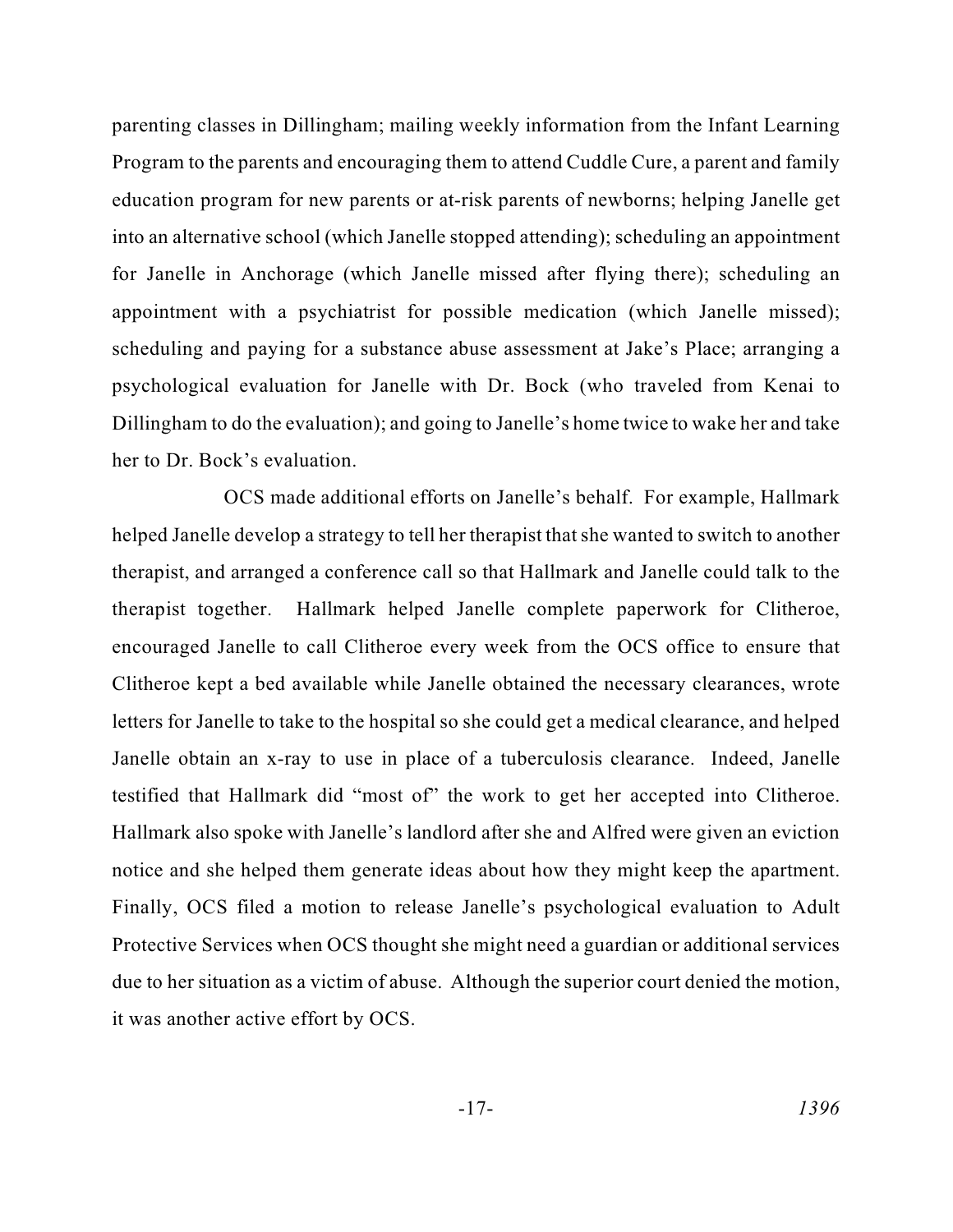Program to the parents and encouraging them to attend Cuddle Cure, a parent and family scheduling and paying for a substance abuse assessment at Jake's Place; arranging a psychological evaluation for Janelle with Dr. Bock (who traveled from Kenai to Dillingham to do the evaluation); and going to Janelle's home twice to wake her and take parenting classes in Dillingham; mailing weekly information from the Infant Learning education program for new parents or at-risk parents of newborns; helping Janelle get into an alternative school (which Janelle stopped attending); scheduling an appointment for Janelle in Anchorage (which Janelle missed after flying there); scheduling an appointment with a psychiatrist for possible medication (which Janelle missed); her to Dr. Bock's evaluation.

 helped Janelle develop a strategy to tell her therapist that she wanted to switch to another therapist, and arranged a conference call so that Hallmark and Janelle could talk to the Janelle obtain an x-ray to use in place of a tuberculosis clearance. Indeed, Janelle due to her situation as a victim of abuse. Although the superior court denied the motion, OCS made additional efforts on Janelle's behalf. For example, Hallmark therapist together. Hallmark helped Janelle complete paperwork for Clitheroe, encouraged Janelle to call Clitheroe every week from the OCS office to ensure that Clitheroe kept a bed available while Janelle obtained the necessary clearances, wrote letters for Janelle to take to the hospital so she could get a medical clearance, and helped testified that Hallmark did "most of" the work to get her accepted into Clitheroe. Hallmark also spoke with Janelle's landlord after she and Alfred were given an eviction notice and she helped them generate ideas about how they might keep the apartment. Finally, OCS filed a motion to release Janelle's psychological evaluation to Adult Protective Services when OCS thought she might need a guardian or additional services it was another active effort by OCS.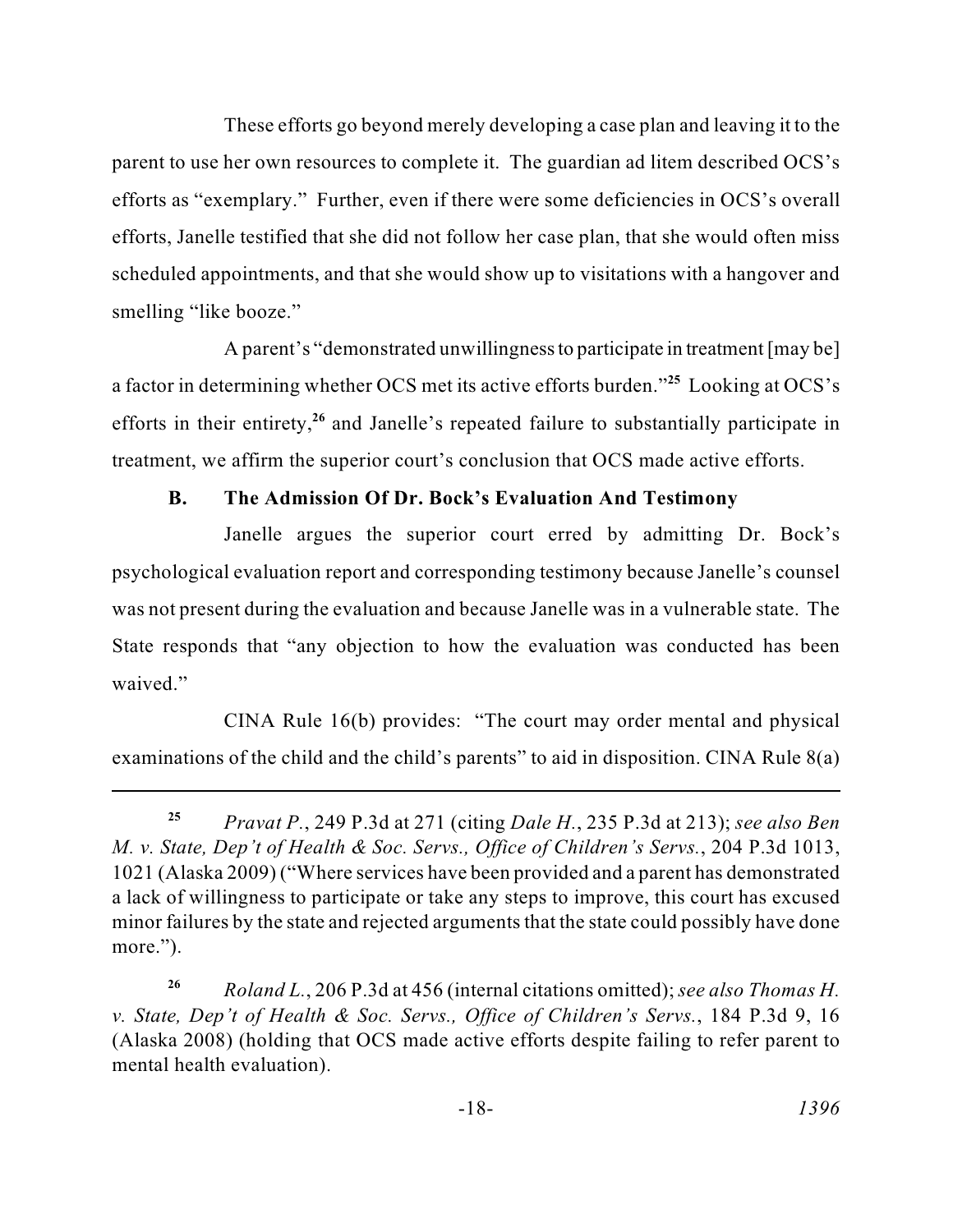efforts, Janelle testified that she did not follow her case plan, that she would often miss These efforts go beyond merely developing a case plan and leaving it to the parent to use her own resources to complete it. The guardian ad litem described OCS's efforts as "exemplary." Further, even if there were some deficiencies in OCS's overall scheduled appointments, and that she would show up to visitations with a hangover and smelling "like booze."

 a factor in determining whether OCS met its active efforts burden."**<sup>25</sup>** Looking at OCS's A parent's "demonstrated unwillingness to participate in treatment [may be] efforts in their entirety,**<sup>26</sup>** and Janelle's repeated failure to substantially participate in treatment, we affirm the superior court's conclusion that OCS made active efforts.

# **B. The Admission Of Dr. Bock's Evaluation And Testimony**

 psychological evaluation report and corresponding testimony because Janelle's counsel was not present during the evaluation and because Janelle was in a vulnerable state. The Janelle argues the superior court erred by admitting Dr. Bock's State responds that "any objection to how the evaluation was conducted has been waived."

CINA Rule 16(b) provides: "The court may order mental and physical examinations of the child and the child's parents" to aid in disposition. CINA Rule 8(a)

 minor failures by the state and rejected arguments that the state could possibly have done **<sup>25</sup>***Pravat P.*, 249 P.3d at 271 (citing *Dale H.*, 235 P.3d at 213); *see also Ben M. v. State, Dep't of Health & Soc. Servs., Office of Children's Servs.*, 204 P.3d 1013, 1021 (Alaska 2009) ("Where services have been provided and a parent has demonstrated a lack of willingness to participate or take any steps to improve, this court has excused more.").

**<sup>26</sup>***Roland L.*, 206 P.3d at 456 (internal citations omitted); *see also Thomas H. v. State, Dep't of Health & Soc. Servs., Office of Children's Servs.*, 184 P.3d 9, 16 (Alaska 2008) (holding that OCS made active efforts despite failing to refer parent to mental health evaluation).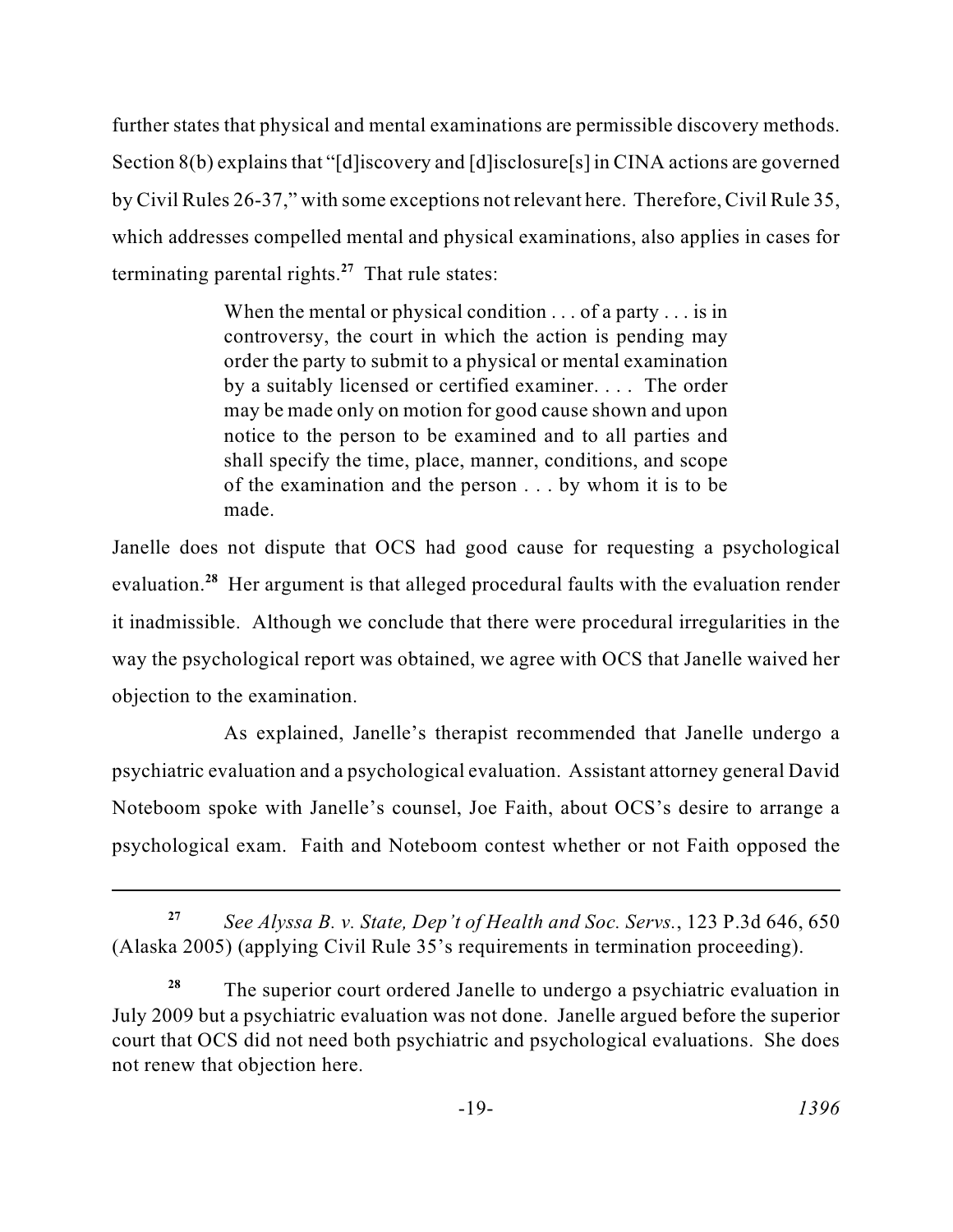further states that physical and mental examinations are permissible discovery methods. Section 8(b) explains that "[d]iscovery and [d]isclosure[s] in CINA actions are governed by Civil Rules 26-37," with some exceptions not relevant here. Therefore, Civil Rule 35, which addresses compelled mental and physical examinations, also applies in cases for terminating parental rights. $27$  That rule states:

> When the mental or physical condition . . . of a party . . . is in controversy, the court in which the action is pending may order the party to submit to a physical or mental examination by a suitably licensed or certified examiner. . . . The order may be made only on motion for good cause shown and upon notice to the person to be examined and to all parties and shall specify the time, place, manner, conditions, and scope of the examination and the person . . . by whom it is to be made.

evaluation.<sup>28</sup> Her argument is that alleged procedural faults with the evaluation render way the psychological report was obtained, we agree with OCS that Janelle waived her Janelle does not dispute that OCS had good cause for requesting a psychological it inadmissible. Although we conclude that there were procedural irregularities in the objection to the examination.

As explained, Janelle's therapist recommended that Janelle undergo a psychiatric evaluation and a psychological evaluation. Assistant attorney general David Noteboom spoke with Janelle's counsel, Joe Faith, about OCS's desire to arrange a psychological exam. Faith and Noteboom contest whether or not Faith opposed the

 **<sup>27</sup>***See Alyssa B. v. State, Dep't of Health and Soc. Servs.*, 123 P.3d 646, 650 (Alaska 2005) (applying Civil Rule 35's requirements in termination proceeding).

 July 2009 but a psychiatric evaluation was not done. Janelle argued before the superior <sup>28</sup> The superior court ordered Janelle to undergo a psychiatric evaluation in court that OCS did not need both psychiatric and psychological evaluations. She does not renew that objection here.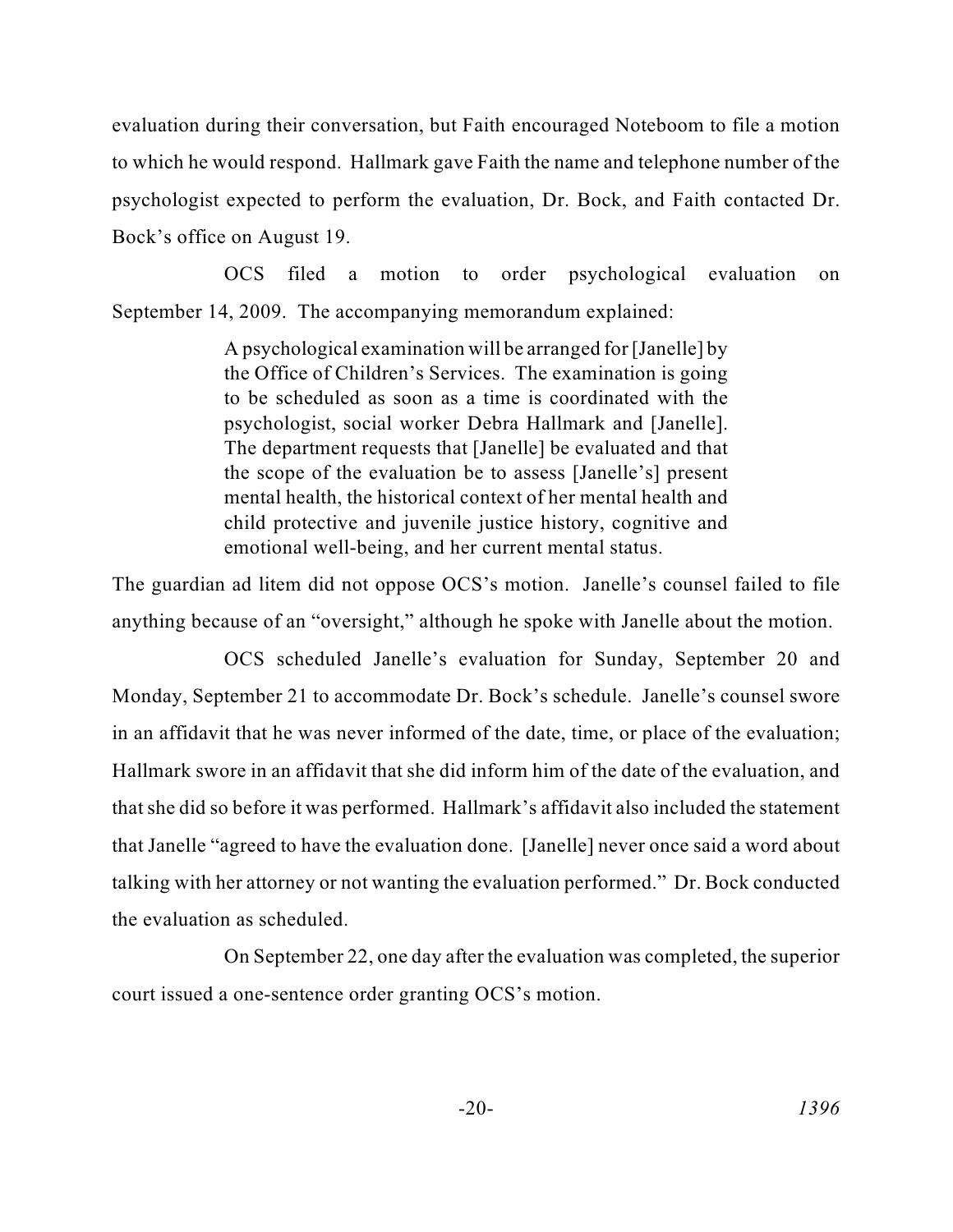evaluation during their conversation, but Faith encouraged Noteboom to file a motion to which he would respond. Hallmark gave Faith the name and telephone number of the psychologist expected to perform the evaluation, Dr. Bock, and Faith contacted Dr. Bock's office on August 19.

OCS filed a motion to order psychological evaluation on September 14, 2009. The accompanying memorandum explained:

> the Office of Children's Services. The examination is going mental health, the historical context of her mental health and A psychological examination will be arranged for [Janelle] by to be scheduled as soon as a time is coordinated with the psychologist, social worker Debra Hallmark and [Janelle]. The department requests that [Janelle] be evaluated and that the scope of the evaluation be to assess [Janelle's] present child protective and juvenile justice history, cognitive and emotional well-being, and her current mental status.

The guardian ad litem did not oppose OCS's motion. Janelle's counsel failed to file anything because of an "oversight," although he spoke with Janelle about the motion.

 Monday, September 21 to accommodate Dr. Bock's schedule. Janelle's counsel swore Hallmark swore in an affidavit that she did inform him of the date of the evaluation, and that she did so before it was performed. Hallmark's affidavit also included the statement that Janelle "agreed to have the evaluation done. [Janelle] never once said a word about OCS scheduled Janelle's evaluation for Sunday, September 20 and in an affidavit that he was never informed of the date, time, or place of the evaluation; talking with her attorney or not wanting the evaluation performed." Dr. Bock conducted the evaluation as scheduled.

On September 22, one day after the evaluation was completed, the superior court issued a one-sentence order granting OCS's motion.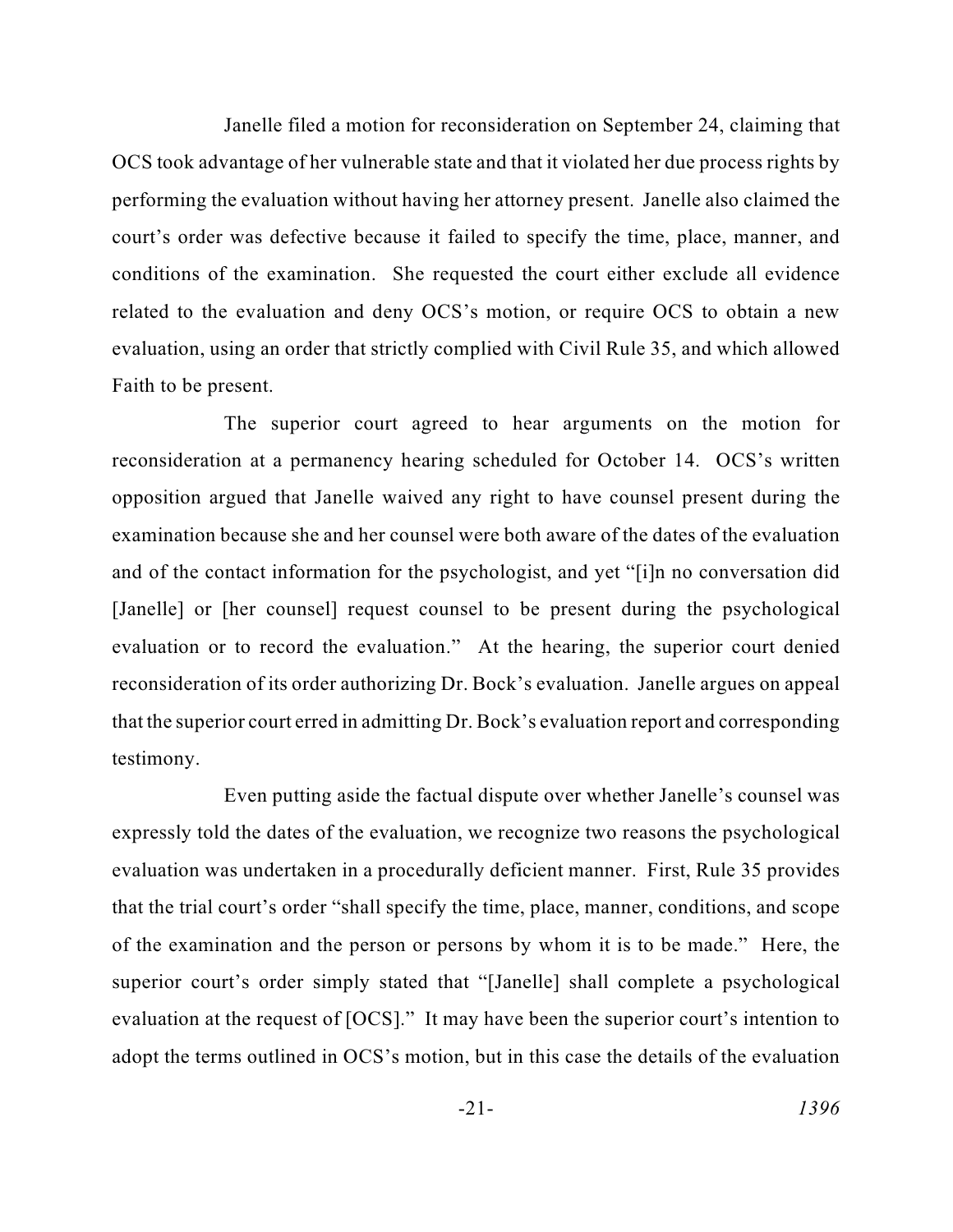performing the evaluation without having her attorney present. Janelle also claimed the Janelle filed a motion for reconsideration on September 24, claiming that OCS took advantage of her vulnerable state and that it violated her due process rights by court's order was defective because it failed to specify the time, place, manner, and conditions of the examination. She requested the court either exclude all evidence related to the evaluation and deny OCS's motion, or require OCS to obtain a new evaluation, using an order that strictly complied with Civil Rule 35, and which allowed Faith to be present.

 examination because she and her counsel were both aware of the dates of the evaluation and of the contact information for the psychologist, and yet "[i]n no conversation did reconsideration of its order authorizing Dr. Bock's evaluation. Janelle argues on appeal that the superior court erred in admitting Dr. Bock's evaluation report and corresponding The superior court agreed to hear arguments on the motion for reconsideration at a permanency hearing scheduled for October 14. OCS's written opposition argued that Janelle waived any right to have counsel present during the [Janelle] or [her counsel] request counsel to be present during the psychological evaluation or to record the evaluation." At the hearing, the superior court denied testimony.

 that the trial court's order "shall specify the time, place, manner, conditions, and scope evaluation at the request of [OCS]." It may have been the superior court's intention to adopt the terms outlined in OCS's motion, but in this case the details of the evaluation Even putting aside the factual dispute over whether Janelle's counsel was expressly told the dates of the evaluation, we recognize two reasons the psychological evaluation was undertaken in a procedurally deficient manner. First, Rule 35 provides of the examination and the person or persons by whom it is to be made." Here, the superior court's order simply stated that "[Janelle] shall complete a psychological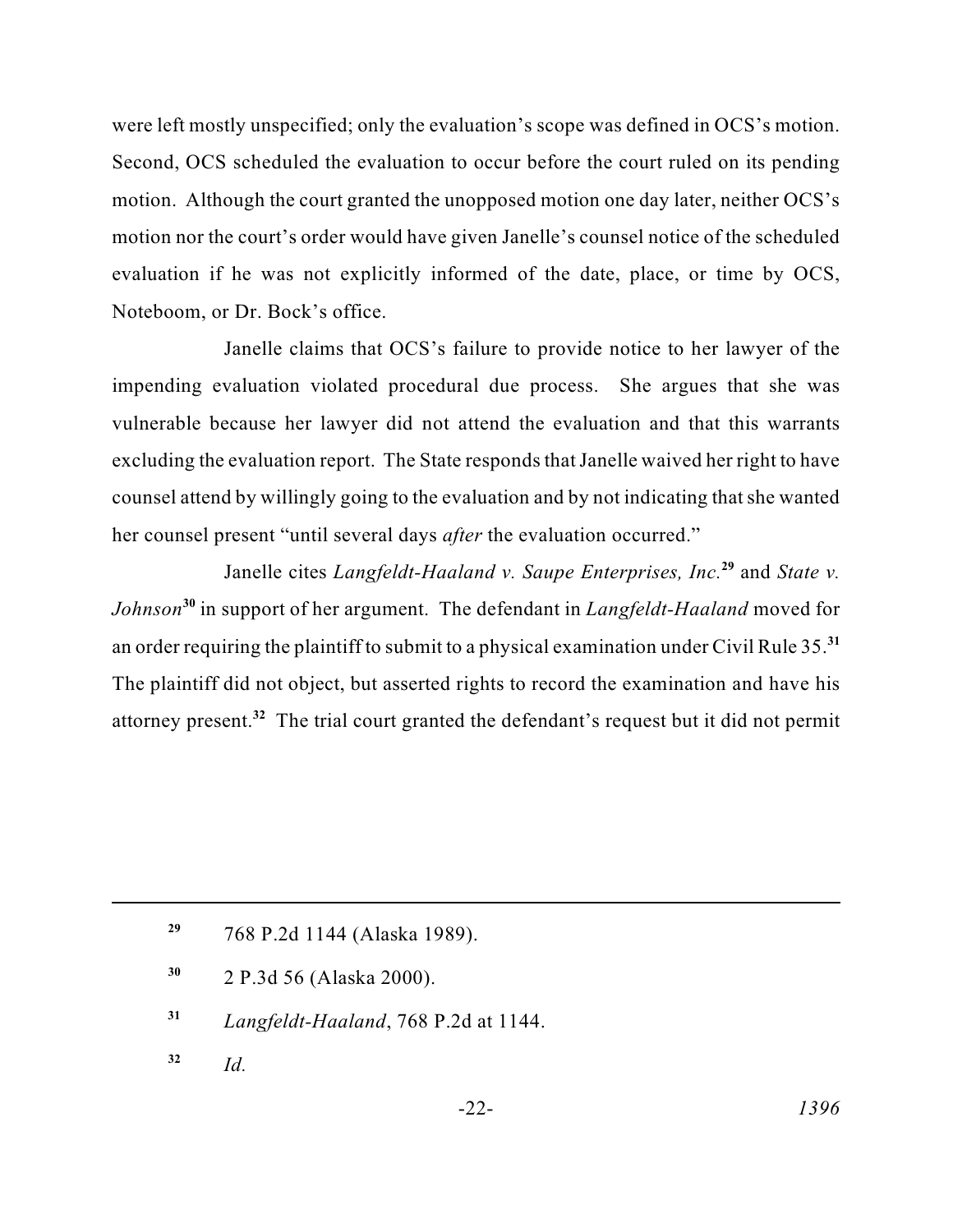were left mostly unspecified; only the evaluation's scope was defined in OCS's motion. Second, OCS scheduled the evaluation to occur before the court ruled on its pending motion. Although the court granted the unopposed motion one day later, neither OCS's motion nor the court's order would have given Janelle's counsel notice of the scheduled evaluation if he was not explicitly informed of the date, place, or time by OCS, Noteboom, or Dr. Bock's office.

 vulnerable because her lawyer did not attend the evaluation and that this warrants excluding the evaluation report. The State responds that Janelle waived her right to have counsel attend by willingly going to the evaluation and by not indicating that she wanted Janelle claims that OCS's failure to provide notice to her lawyer of the impending evaluation violated procedural due process. She argues that she was her counsel present "until several days *after* the evaluation occurred."

 an order requiring the plaintiff to submit to a physical examination under Civil Rule 35.**<sup>31</sup>** The plaintiff did not object, but asserted rights to record the examination and have his Janelle cites *Langfeldt-Haaland v. Saupe Enterprises, Inc.***<sup>29</sup>**and *State v. Johnson* **<sup>30</sup>**in support of her argument. The defendant in *Langfeldt-Haaland* moved for attorney present.**<sup>32</sup>**The trial court granted the defendant's request but it did not permit

**<sup>29</sup>**768 P.2d 1144 (Alaska 1989).

- **<sup>30</sup>**2 P.3d 56 (Alaska 2000).
- **<sup>31</sup>***Langfeldt-Haaland*, 768 P.2d at 1144.
- $32$  *Id.*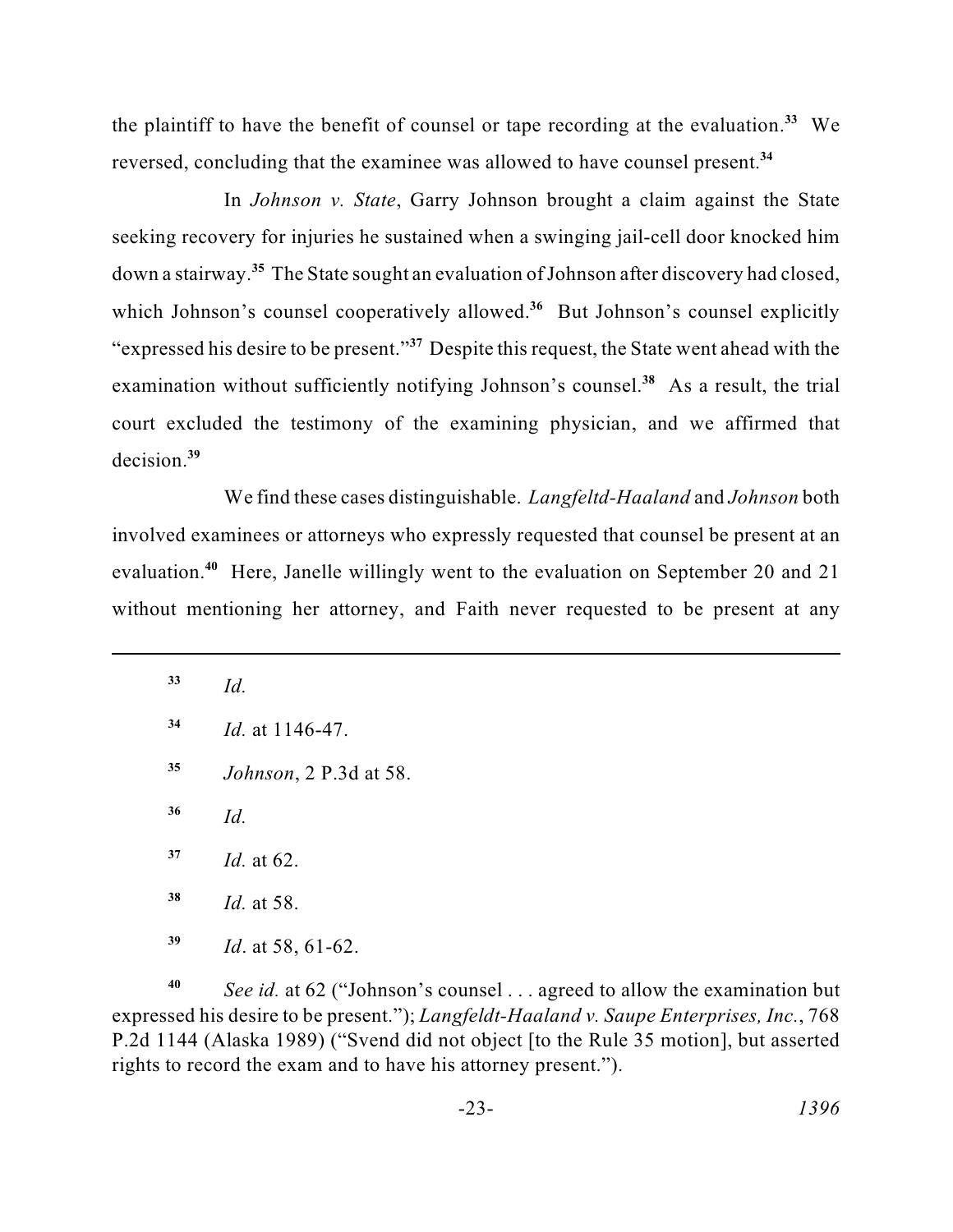the plaintiff to have the benefit of counsel or tape recording at the evaluation.**<sup>33</sup>**We reversed, concluding that the examinee was allowed to have counsel present.**<sup>34</sup>**

 down a stairway.**<sup>35</sup>**The State sought an evaluation of Johnson after discovery had closed, In *Johnson v. State*, Garry Johnson brought a claim against the State seeking recovery for injuries he sustained when a swinging jail-cell door knocked him which Johnson's counsel cooperatively allowed.<sup>36</sup> But Johnson's counsel explicitly "expressed his desire to be present."**<sup>37</sup>** Despite this request, the State went ahead with the examination without sufficiently notifying Johnson's counsel.<sup>38</sup> As a result, the trial court excluded the testimony of the examining physician, and we affirmed that decision.**<sup>39</sup>**

 without mentioning her attorney, and Faith never requested to be present at any We find these cases distinguishable. *Langfeltd-Haaland* and *Johnson* both involved examinees or attorneys who expressly requested that counsel be present at an evaluation.<sup>40</sup> Here, Janelle willingly went to the evaluation on September 20 and 21

- **<sup>35</sup>***Johnson*, 2 P.3d at 58.
- **<sup>36</sup>***Id.*

- **<sup>38</sup>***Id.* at 58.
- **39** *Id*. at 58, 61-62.

 P.2d 1144 (Alaska 1989) ("Svend did not object [to the Rule 35 motion], but asserted **<sup>40</sup>***See id.* at 62 ("Johnson's counsel . . . agreed to allow the examination but expressed his desire to be present."); *Langfeldt-Haaland v. Saupe Enterprises, Inc.*, 768 rights to record the exam and to have his attorney present.").

**<sup>33</sup>***Id.* 

**<sup>34</sup>***Id.* at 1146-47.

**<sup>37</sup>***Id.* at 62.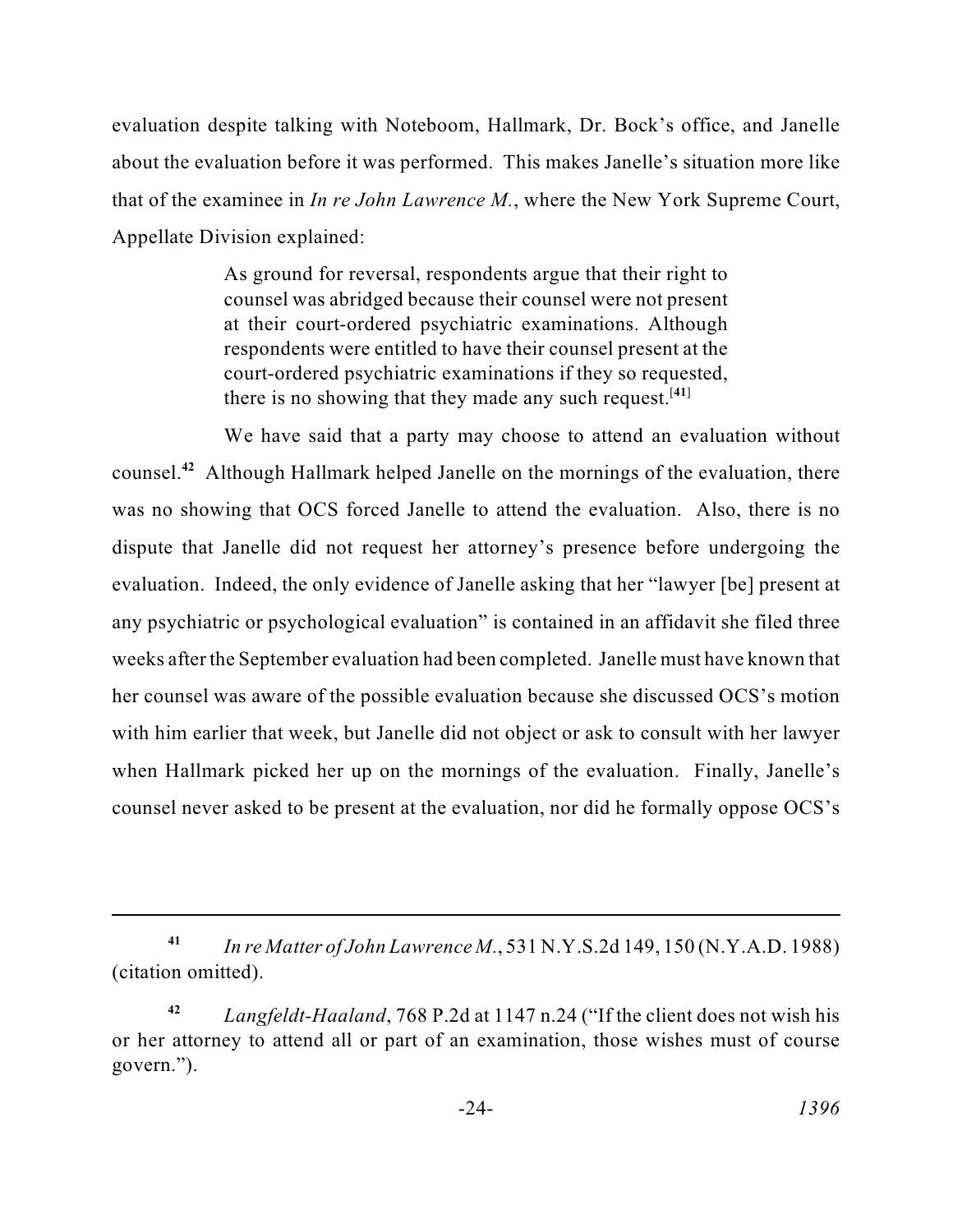that of the examinee in *In re John Lawrence M.*, where the New York Supreme Court, evaluation despite talking with Noteboom, Hallmark, Dr. Bock's office, and Janelle about the evaluation before it was performed. This makes Janelle's situation more like Appellate Division explained:

> counsel was abridged because their counsel were not present As ground for reversal, respondents argue that their right to at their court-ordered psychiatric examinations. Although respondents were entitled to have their counsel present at the court-ordered psychiatric examinations if they so requested, there is no showing that they made any such request.  $[41]$

 We have said that a party may choose to attend an evaluation without evaluation. Indeed, the only evidence of Janelle asking that her "lawyer [be] present at with him earlier that week, but Janelle did not object or ask to consult with her lawyer counsel.**<sup>42</sup>**Although Hallmark helped Janelle on the mornings of the evaluation, there was no showing that OCS forced Janelle to attend the evaluation. Also, there is no dispute that Janelle did not request her attorney's presence before undergoing the any psychiatric or psychological evaluation" is contained in an affidavit she filed three weeks after the September evaluation had been completed. Janelle must have known that her counsel was aware of the possible evaluation because she discussed OCS's motion when Hallmark picked her up on the mornings of the evaluation. Finally, Janelle's counsel never asked to be present at the evaluation, nor did he formally oppose OCS's

**<sup>41</sup>***In re Matter of John Lawrence M.*, 531 N.Y.S.2d 149, 150 (N.Y.A.D. 1988) (citation omitted).

 **<sup>42</sup>***Langfeldt-Haaland*, 768 P.2d at 1147 n.24 ("If the client does not wish his or her attorney to attend all or part of an examination, those wishes must of course govern.").